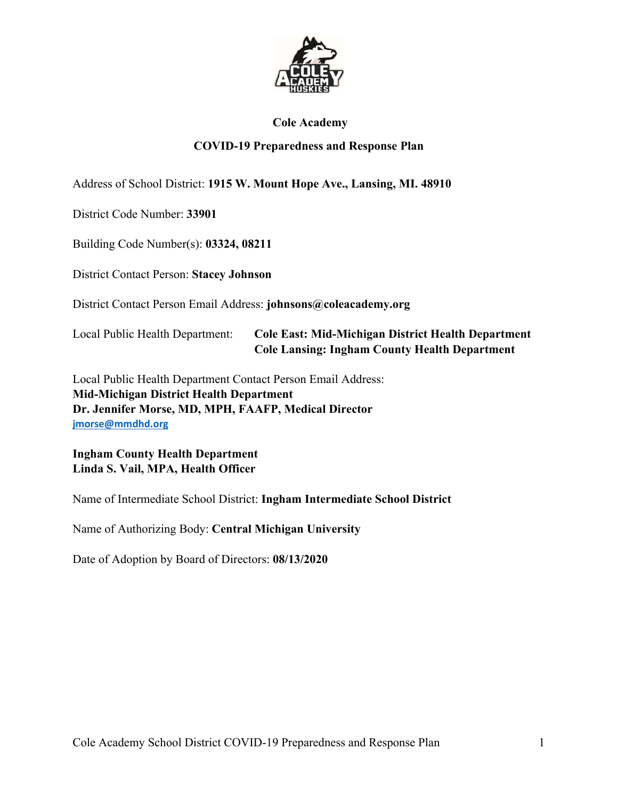

#### **Cole Academy**

#### **COVID-19 Preparedness and Response Plan**

Address of School District: **1915 W. Mount Hope Ave., Lansing, MI. 48910**

District Code Number: **33901**

Building Code Number(s): **03324, 08211**

District Contact Person: **Stacey Johnson**

District Contact Person Email Address: **johnsons@coleacademy.org** 

Local Public Health Department: **Cole East: Mid-Michigan District Health Department Cole Lansing: Ingham County Health Department**

Local Public Health Department Contact Person Email Address: **Mid-Michigan District Health Department Dr. Jennifer Morse, MD, MPH, FAAFP, Medical Director jmorse@mmdhd.org**

**Ingham County Health Department Linda S. Vail, MPA, Health Officer** 

Name of Intermediate School District: **Ingham Intermediate School District** 

Name of Authorizing Body: **Central Michigan University** 

Date of Adoption by Board of Directors: **08/13/2020**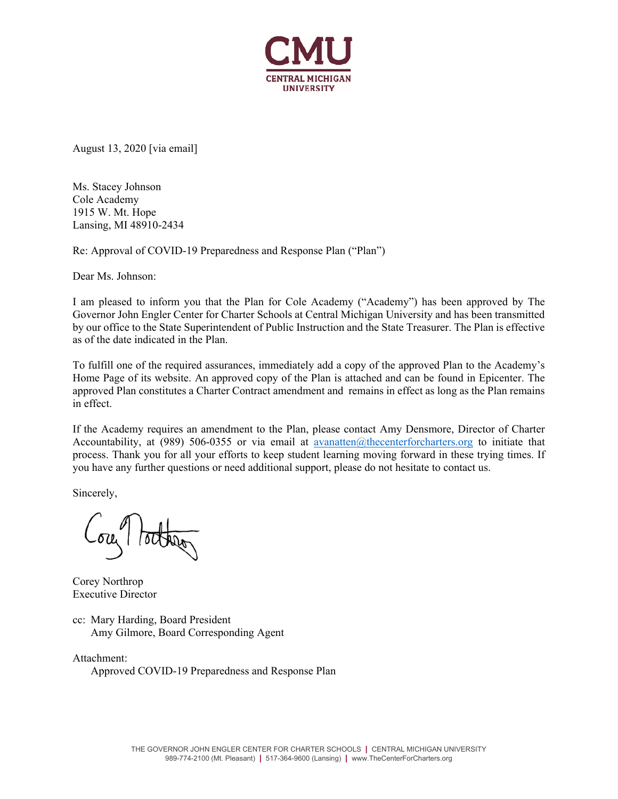

August 13, 2020 [via email]

Ms. Stacey Johnson Cole Academy 1915 W. Mt. Hope Lansing, MI 48910-2434

Re: Approval of COVID-19 Preparedness and Response Plan ("Plan")

Dear Ms. Johnson:

I am pleased to inform you that the Plan for Cole Academy ("Academy") has been approved by The Governor John Engler Center for Charter Schools at Central Michigan University and has been transmitted by our office to the State Superintendent of Public Instruction and the State Treasurer. The Plan is effective as of the date indicated in the Plan.

To fulfill one of the required assurances, immediately add a copy of the approved Plan to the Academy's Home Page of its website. An approved copy of the Plan is attached and can be found in Epicenter. The approved Plan constitutes a Charter Contract amendment and remains in effect as long as the Plan remains in effect.

If the Academy requires an amendment to the Plan, please contact Amy Densmore, Director of Charter Accountability, at (989) 506-0355 or via email at avanatten@thecenterforcharters.org to initiate that process. Thank you for all your efforts to keep student learning moving forward in these trying times. If you have any further questions or need additional support, please do not hesitate to contact us.

Sincerely,

Corey Northrop Executive Director

cc: Mary Harding, Board President Amy Gilmore, Board Corresponding Agent

Attachment: Approved COVID-19 Preparedness and Response Plan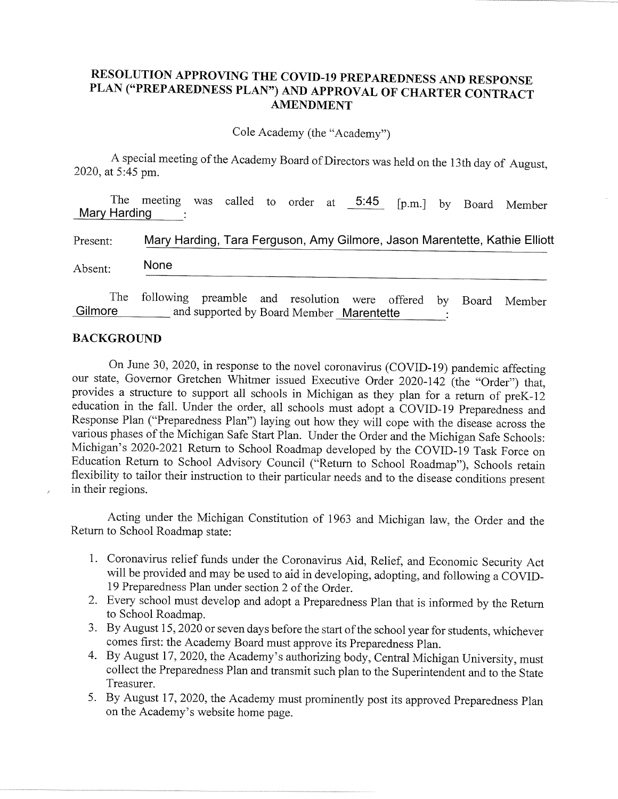## RESOLUTION APPROVING THE COVID-19 PREPAREDNESS AND RESPONSE PLAN ("PREPAREDNESS PLAN") AND APPROVAL OF CHARTER CONTRACT **AMENDMENT**

Cole Academy (the "Academy")

A special meeting of the Academy Board of Directors was held on the 13th day of August, 2020, at 5:45 pm.

The meeting was called to order at 5:45 [p.m.] by Board Member Mary Harding

| Present: |  | Mary Harding, Tara Ferguson, Amy Gilmore, Jason Marentette, Kathie Elliott |  |  |                                                                    |  |  |  |  |  |  |  |
|----------|--|----------------------------------------------------------------------------|--|--|--------------------------------------------------------------------|--|--|--|--|--|--|--|
| Absent:  |  | <b>None</b>                                                                |  |  |                                                                    |  |  |  |  |  |  |  |
|          |  |                                                                            |  |  | The following preamble and resolution were offered by Board Member |  |  |  |  |  |  |  |

**Gilmore** and supported by Board Member Marentette

#### **BACKGROUND**

On June 30, 2020, in response to the novel coronavirus (COVID-19) pandemic affecting our state, Governor Gretchen Whitmer issued Executive Order 2020-142 (the "Order") that, provides a structure to support all schools in Michigan as they plan for a return of preK-12 education in the fall. Under the order, all schools must adopt a COVID-19 Preparedness and Response Plan ("Preparedness Plan") laying out how they will cope with the disease across the various phases of the Michigan Safe Start Plan. Under the Order and the Michigan Safe Schools: Michigan's 2020-2021 Return to School Roadmap developed by the COVID-19 Task Force on Education Return to School Advisory Council ("Return to School Roadmap"), Schools retain flexibility to tailor their instruction to their particular needs and to the disease conditions present in their regions.

Acting under the Michigan Constitution of 1963 and Michigan law, the Order and the Return to School Roadmap state:

- 1. Coronavirus relief funds under the Coronavirus Aid, Relief, and Economic Security Act will be provided and may be used to aid in developing, adopting, and following a COVID-19 Preparedness Plan under section 2 of the Order.
- 2. Every school must develop and adopt a Preparedness Plan that is informed by the Return to School Roadmap.
- 3. By August 15, 2020 or seven days before the start of the school year for students, whichever comes first: the Academy Board must approve its Preparedness Plan.
- 4. By August 17, 2020, the Academy's authorizing body, Central Michigan University, must collect the Preparedness Plan and transmit such plan to the Superintendent and to the State Treasurer.
- 5. By August 17, 2020, the Academy must prominently post its approved Preparedness Plan on the Academy's website home page.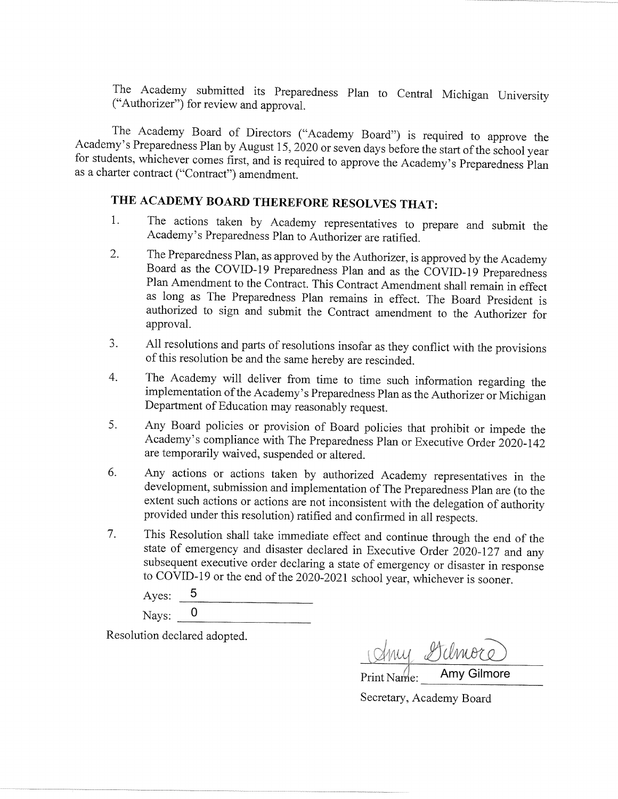The Academy submitted its Preparedness Plan to Central Michigan University ("Authorizer") for review and approval.

The Academy Board of Directors ("Academy Board") is required to approve the Academy's Preparedness Plan by August 15, 2020 or seven days before the start of the school year for students, whichever comes first, and is required to approve the Academy's Preparedness Plan as a charter contract ("Contract") amendment.

# THE ACADEMY BOARD THEREFORE RESOLVES THAT:

- The actions taken by Academy representatives to prepare and submit the  $1.$ Academy's Preparedness Plan to Authorizer are ratified.
- The Preparedness Plan, as approved by the Authorizer, is approved by the Academy 2. Board as the COVID-19 Preparedness Plan and as the COVID-19 Preparedness Plan Amendment to the Contract. This Contract Amendment shall remain in effect as long as The Preparedness Plan remains in effect. The Board President is authorized to sign and submit the Contract amendment to the Authorizer for approval.
- All resolutions and parts of resolutions insofar as they conflict with the provisions  $3.$ of this resolution be and the same hereby are rescinded.
- The Academy will deliver from time to time such information regarding the  $4.$ implementation of the Academy's Preparedness Plan as the Authorizer or Michigan Department of Education may reasonably request.
- 5. Any Board policies or provision of Board policies that prohibit or impede the Academy's compliance with The Preparedness Plan or Executive Order 2020-142 are temporarily waived, suspended or altered.
- 6. Any actions or actions taken by authorized Academy representatives in the development, submission and implementation of The Preparedness Plan are (to the extent such actions or actions are not inconsistent with the delegation of authority provided under this resolution) ratified and confirmed in all respects.
- This Resolution shall take immediate effect and continue through the end of the 7. state of emergency and disaster declared in Executive Order 2020-127 and any subsequent executive order declaring a state of emergency or disaster in response to COVID-19 or the end of the 2020-2021 school year, whichever is sooner.

5 Ayes: Nays:  $0$ 

Resolution declared adopted.

Any Hilmore

Secretary, Academy Board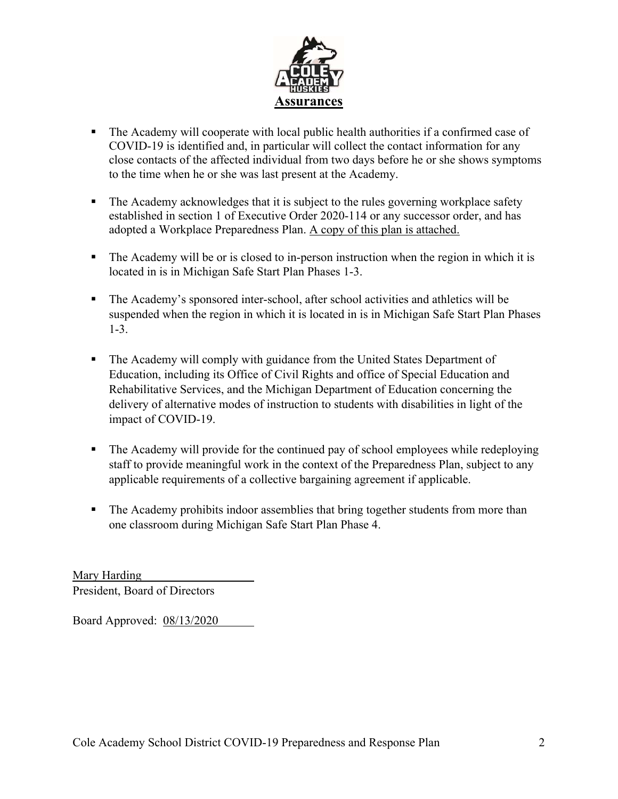

- The Academy will cooperate with local public health authorities if a confirmed case of COVID-19 is identified and, in particular will collect the contact information for any close contacts of the affected individual from two days before he or she shows symptoms to the time when he or she was last present at the Academy.
- The Academy acknowledges that it is subject to the rules governing workplace safety established in section 1 of Executive Order 2020-114 or any successor order, and has adopted a Workplace Preparedness Plan. A copy of this plan is attached.
- The Academy will be or is closed to in-person instruction when the region in which it is located in is in Michigan Safe Start Plan Phases 1-3.
- The Academy's sponsored inter-school, after school activities and athletics will be suspended when the region in which it is located in is in Michigan Safe Start Plan Phases 1-3.
- The Academy will comply with guidance from the United States Department of Education, including its Office of Civil Rights and office of Special Education and Rehabilitative Services, and the Michigan Department of Education concerning the delivery of alternative modes of instruction to students with disabilities in light of the impact of COVID-19.
- The Academy will provide for the continued pay of school employees while redeploying staff to provide meaningful work in the context of the Preparedness Plan, subject to any applicable requirements of a collective bargaining agreement if applicable.
- The Academy prohibits indoor assemblies that bring together students from more than one classroom during Michigan Safe Start Plan Phase 4.

Mary Harding President, Board of Directors

Board Approved: 08/13/2020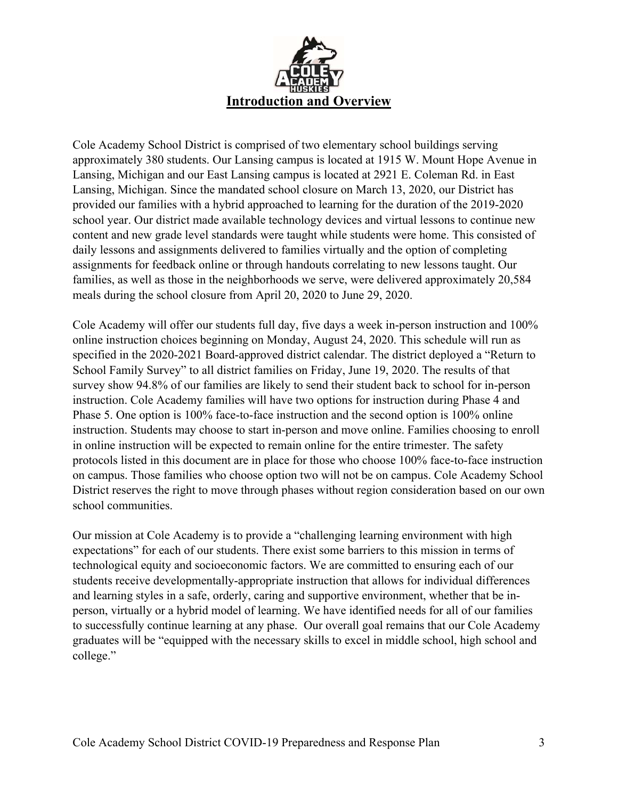

Cole Academy School District is comprised of two elementary school buildings serving approximately 380 students. Our Lansing campus is located at 1915 W. Mount Hope Avenue in Lansing, Michigan and our East Lansing campus is located at 2921 E. Coleman Rd. in East Lansing, Michigan. Since the mandated school closure on March 13, 2020, our District has provided our families with a hybrid approached to learning for the duration of the 2019-2020 school year. Our district made available technology devices and virtual lessons to continue new content and new grade level standards were taught while students were home. This consisted of daily lessons and assignments delivered to families virtually and the option of completing assignments for feedback online or through handouts correlating to new lessons taught. Our families, as well as those in the neighborhoods we serve, were delivered approximately 20,584 meals during the school closure from April 20, 2020 to June 29, 2020.

Cole Academy will offer our students full day, five days a week in-person instruction and 100% online instruction choices beginning on Monday, August 24, 2020. This schedule will run as specified in the 2020-2021 Board-approved district calendar. The district deployed a "Return to School Family Survey" to all district families on Friday, June 19, 2020. The results of that survey show 94.8% of our families are likely to send their student back to school for in-person instruction. Cole Academy families will have two options for instruction during Phase 4 and Phase 5. One option is 100% face-to-face instruction and the second option is 100% online instruction. Students may choose to start in-person and move online. Families choosing to enroll in online instruction will be expected to remain online for the entire trimester. The safety protocols listed in this document are in place for those who choose 100% face-to-face instruction on campus. Those families who choose option two will not be on campus. Cole Academy School District reserves the right to move through phases without region consideration based on our own school communities.

Our mission at Cole Academy is to provide a "challenging learning environment with high expectations" for each of our students. There exist some barriers to this mission in terms of technological equity and socioeconomic factors. We are committed to ensuring each of our students receive developmentally-appropriate instruction that allows for individual differences and learning styles in a safe, orderly, caring and supportive environment, whether that be inperson, virtually or a hybrid model of learning. We have identified needs for all of our families to successfully continue learning at any phase. Our overall goal remains that our Cole Academy graduates will be "equipped with the necessary skills to excel in middle school, high school and college."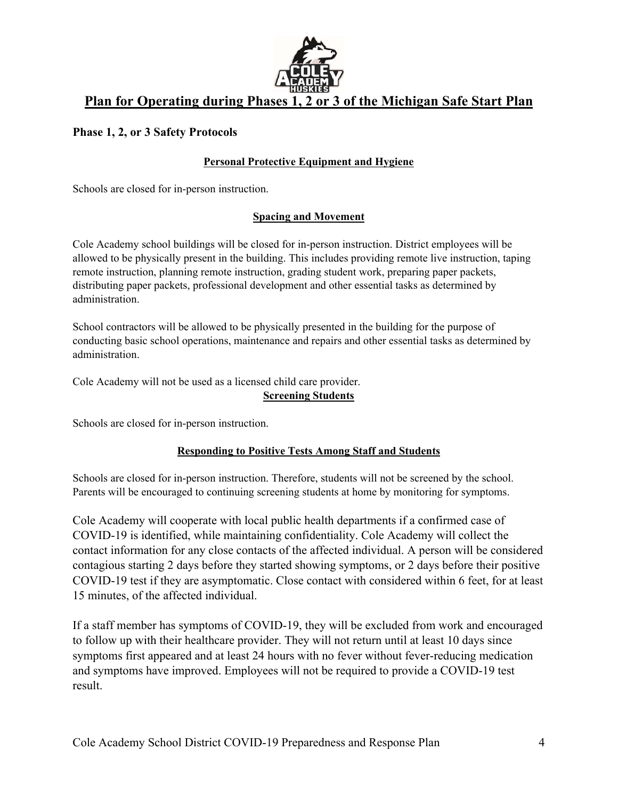

# **Plan for Operating during Phases 1, 2 or 3 of the Michigan Safe Start Plan**

#### **Phase 1, 2, or 3 Safety Protocols**

#### **Personal Protective Equipment and Hygiene**

Schools are closed for in-person instruction.

#### **Spacing and Movement**

Cole Academy school buildings will be closed for in-person instruction. District employees will be allowed to be physically present in the building. This includes providing remote live instruction, taping remote instruction, planning remote instruction, grading student work, preparing paper packets, distributing paper packets, professional development and other essential tasks as determined by administration.

School contractors will be allowed to be physically presented in the building for the purpose of conducting basic school operations, maintenance and repairs and other essential tasks as determined by administration.

Cole Academy will not be used as a licensed child care provider.

#### **Screening Students**

Schools are closed for in-person instruction.

#### **Responding to Positive Tests Among Staff and Students**

Schools are closed for in-person instruction. Therefore, students will not be screened by the school. Parents will be encouraged to continuing screening students at home by monitoring for symptoms.

Cole Academy will cooperate with local public health departments if a confirmed case of COVID-19 is identified, while maintaining confidentiality. Cole Academy will collect the contact information for any close contacts of the affected individual. A person will be considered contagious starting 2 days before they started showing symptoms, or 2 days before their positive COVID-19 test if they are asymptomatic. Close contact with considered within 6 feet, for at least 15 minutes, of the affected individual.

If a staff member has symptoms of COVID-19, they will be excluded from work and encouraged to follow up with their healthcare provider. They will not return until at least 10 days since symptoms first appeared and at least 24 hours with no fever without fever-reducing medication and symptoms have improved. Employees will not be required to provide a COVID-19 test result.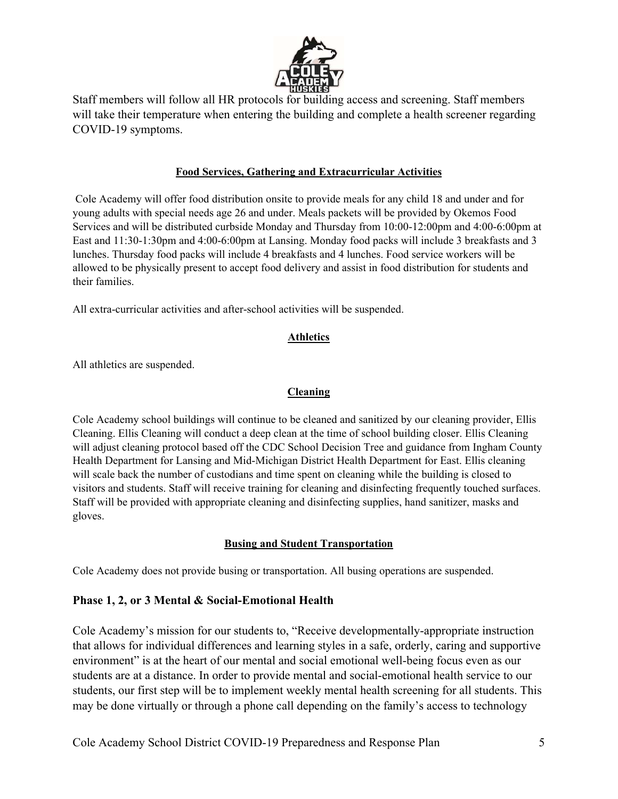

Staff members will follow all HR protocols for building access and screening. Staff members will take their temperature when entering the building and complete a health screener regarding COVID-19 symptoms.

#### **Food Services, Gathering and Extracurricular Activities**

 Cole Academy will offer food distribution onsite to provide meals for any child 18 and under and for young adults with special needs age 26 and under. Meals packets will be provided by Okemos Food Services and will be distributed curbside Monday and Thursday from 10:00-12:00pm and 4:00-6:00pm at East and 11:30-1:30pm and 4:00-6:00pm at Lansing. Monday food packs will include 3 breakfasts and 3 lunches. Thursday food packs will include 4 breakfasts and 4 lunches. Food service workers will be allowed to be physically present to accept food delivery and assist in food distribution for students and their families.

All extra-curricular activities and after-school activities will be suspended.

#### **Athletics**

All athletics are suspended.

#### **Cleaning**

Cole Academy school buildings will continue to be cleaned and sanitized by our cleaning provider, Ellis Cleaning. Ellis Cleaning will conduct a deep clean at the time of school building closer. Ellis Cleaning will adjust cleaning protocol based off the CDC School Decision Tree and guidance from Ingham County Health Department for Lansing and Mid-Michigan District Health Department for East. Ellis cleaning will scale back the number of custodians and time spent on cleaning while the building is closed to visitors and students. Staff will receive training for cleaning and disinfecting frequently touched surfaces. Staff will be provided with appropriate cleaning and disinfecting supplies, hand sanitizer, masks and gloves.

#### **Busing and Student Transportation**

Cole Academy does not provide busing or transportation. All busing operations are suspended.

#### **Phase 1, 2, or 3 Mental & Social-Emotional Health**

Cole Academy's mission for our students to, "Receive developmentally-appropriate instruction that allows for individual differences and learning styles in a safe, orderly, caring and supportive environment" is at the heart of our mental and social emotional well-being focus even as our students are at a distance. In order to provide mental and social-emotional health service to our students, our first step will be to implement weekly mental health screening for all students. This may be done virtually or through a phone call depending on the family's access to technology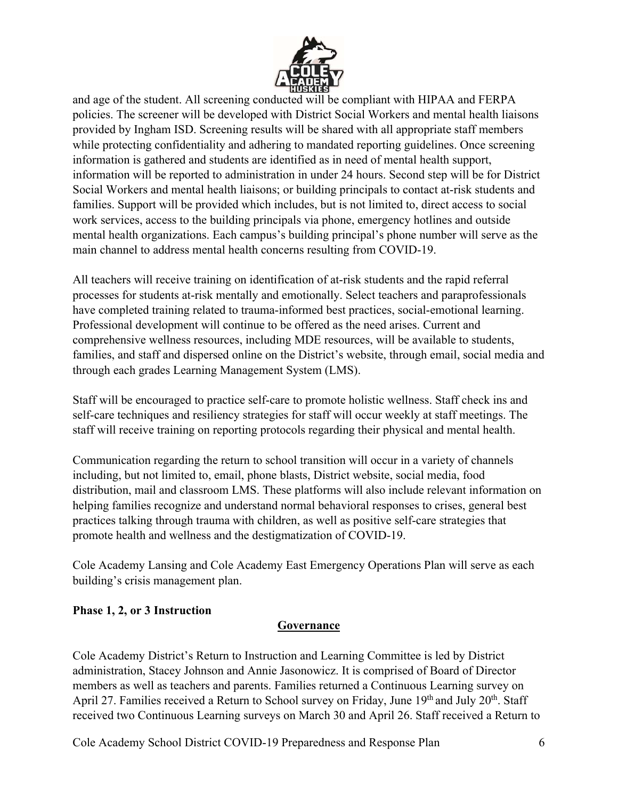

and age of the student. All screening conducted will be compliant with HIPAA and FERPA policies. The screener will be developed with District Social Workers and mental health liaisons provided by Ingham ISD. Screening results will be shared with all appropriate staff members while protecting confidentiality and adhering to mandated reporting guidelines. Once screening information is gathered and students are identified as in need of mental health support, information will be reported to administration in under 24 hours. Second step will be for District Social Workers and mental health liaisons; or building principals to contact at-risk students and families. Support will be provided which includes, but is not limited to, direct access to social work services, access to the building principals via phone, emergency hotlines and outside mental health organizations. Each campus's building principal's phone number will serve as the main channel to address mental health concerns resulting from COVID-19.

All teachers will receive training on identification of at-risk students and the rapid referral processes for students at-risk mentally and emotionally. Select teachers and paraprofessionals have completed training related to trauma-informed best practices, social-emotional learning. Professional development will continue to be offered as the need arises. Current and comprehensive wellness resources, including MDE resources, will be available to students, families, and staff and dispersed online on the District's website, through email, social media and through each grades Learning Management System (LMS).

Staff will be encouraged to practice self-care to promote holistic wellness. Staff check ins and self-care techniques and resiliency strategies for staff will occur weekly at staff meetings. The staff will receive training on reporting protocols regarding their physical and mental health.

Communication regarding the return to school transition will occur in a variety of channels including, but not limited to, email, phone blasts, District website, social media, food distribution, mail and classroom LMS. These platforms will also include relevant information on helping families recognize and understand normal behavioral responses to crises, general best practices talking through trauma with children, as well as positive self-care strategies that promote health and wellness and the destigmatization of COVID-19.

Cole Academy Lansing and Cole Academy East Emergency Operations Plan will serve as each building's crisis management plan.

## **Phase 1, 2, or 3 Instruction**

#### **Governance**

Cole Academy District's Return to Instruction and Learning Committee is led by District administration, Stacey Johnson and Annie Jasonowicz. It is comprised of Board of Director members as well as teachers and parents. Families returned a Continuous Learning survey on April 27. Families received a Return to School survey on Friday, June 19<sup>th</sup> and July 20<sup>th</sup>. Staff received two Continuous Learning surveys on March 30 and April 26. Staff received a Return to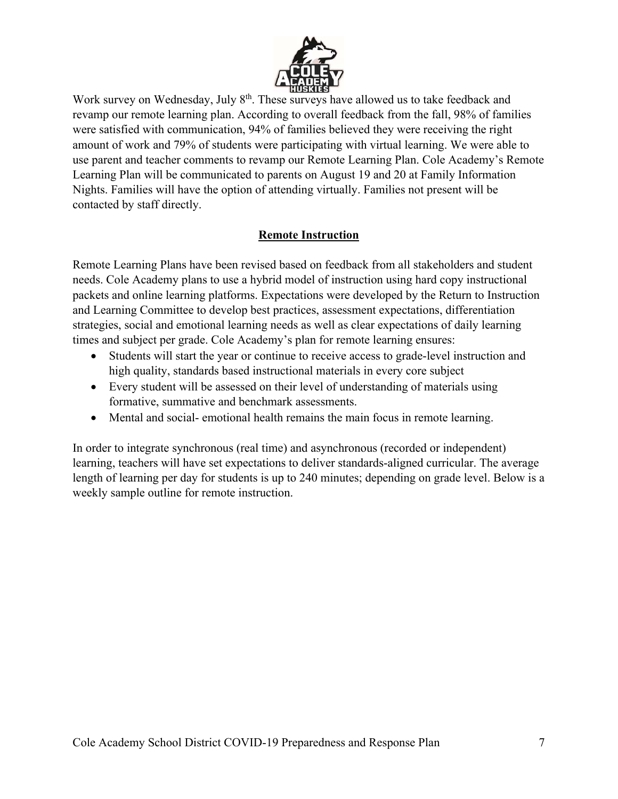

Work survey on Wednesday, July 8<sup>th</sup>. These surveys have allowed us to take feedback and revamp our remote learning plan. According to overall feedback from the fall, 98% of families were satisfied with communication, 94% of families believed they were receiving the right amount of work and 79% of students were participating with virtual learning. We were able to use parent and teacher comments to revamp our Remote Learning Plan. Cole Academy's Remote Learning Plan will be communicated to parents on August 19 and 20 at Family Information Nights. Families will have the option of attending virtually. Families not present will be contacted by staff directly.

#### **Remote Instruction**

Remote Learning Plans have been revised based on feedback from all stakeholders and student needs. Cole Academy plans to use a hybrid model of instruction using hard copy instructional packets and online learning platforms. Expectations were developed by the Return to Instruction and Learning Committee to develop best practices, assessment expectations, differentiation strategies, social and emotional learning needs as well as clear expectations of daily learning times and subject per grade. Cole Academy's plan for remote learning ensures:

- Students will start the year or continue to receive access to grade-level instruction and high quality, standards based instructional materials in every core subject
- Every student will be assessed on their level of understanding of materials using formative, summative and benchmark assessments.
- Mental and social- emotional health remains the main focus in remote learning.

In order to integrate synchronous (real time) and asynchronous (recorded or independent) learning, teachers will have set expectations to deliver standards-aligned curricular. The average length of learning per day for students is up to 240 minutes; depending on grade level. Below is a weekly sample outline for remote instruction.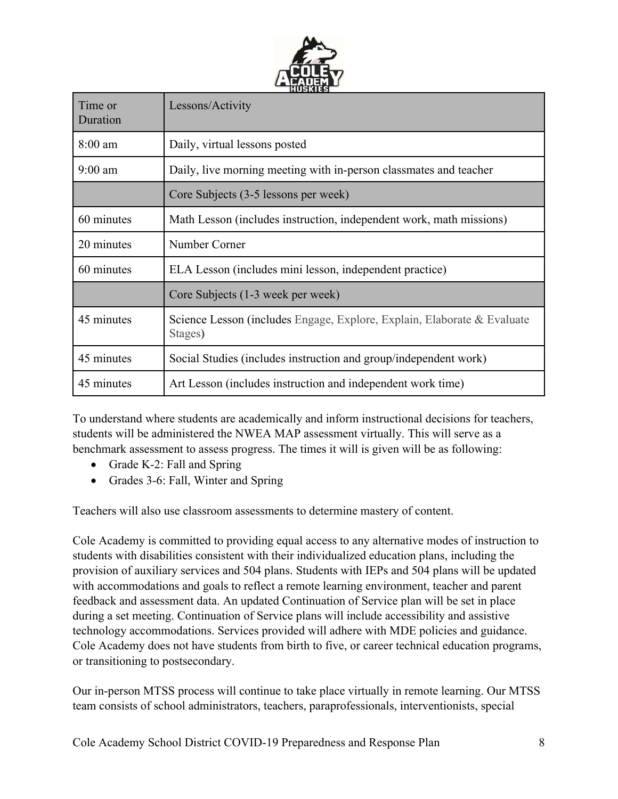

| Time or<br>Duration | Lessons/Activity                                                                   |  |  |  |  |  |
|---------------------|------------------------------------------------------------------------------------|--|--|--|--|--|
| $8:00$ am           | Daily, virtual lessons posted                                                      |  |  |  |  |  |
| $9:00$ am           | Daily, live morning meeting with in-person classmates and teacher                  |  |  |  |  |  |
|                     | Core Subjects (3-5 lessons per week)                                               |  |  |  |  |  |
| 60 minutes          | Math Lesson (includes instruction, independent work, math missions)                |  |  |  |  |  |
| 20 minutes          | Number Corner                                                                      |  |  |  |  |  |
| 60 minutes          | ELA Lesson (includes mini lesson, independent practice)                            |  |  |  |  |  |
|                     | Core Subjects (1-3 week per week)                                                  |  |  |  |  |  |
| 45 minutes          | Science Lesson (includes Engage, Explore, Explain, Elaborate & Evaluate<br>Stages) |  |  |  |  |  |
| 45 minutes          | Social Studies (includes instruction and group/independent work)                   |  |  |  |  |  |
| 45 minutes          | Art Lesson (includes instruction and independent work time)                        |  |  |  |  |  |

To understand where students are academically and inform instructional decisions for teachers, students will be administered the NWEA MAP assessment virtually. This will serve as a benchmark assessment to assess progress. The times it will is given will be as following:

- Grade K-2: Fall and Spring
- Grades 3-6: Fall, Winter and Spring

Teachers will also use classroom assessments to determine mastery of content.

Cole Academy is committed to providing equal access to any alternative modes of instruction to students with disabilities consistent with their individualized education plans, including the provision of auxiliary services and 504 plans. Students with IEPs and 504 plans will be updated with accommodations and goals to reflect a remote learning environment, teacher and parent feedback and assessment data. An updated Continuation of Service plan will be set in place during a set meeting. Continuation of Service plans will include accessibility and assistive technology accommodations. Services provided will adhere with MDE policies and guidance. Cole Academy does not have students from birth to five, or career technical education programs, or transitioning to postsecondary.

Our in-person MTSS process will continue to take place virtually in remote learning. Our MTSS team consists of school administrators, teachers, paraprofessionals, interventionists, special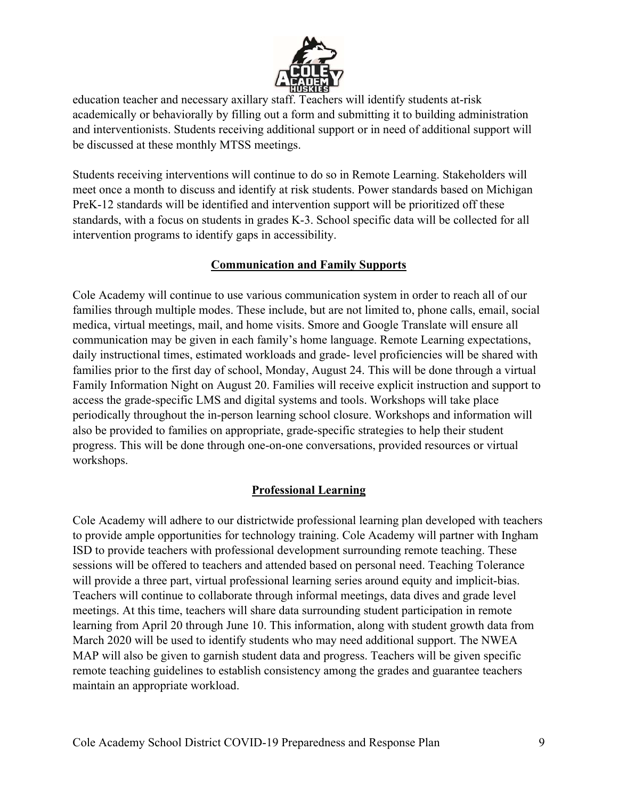

education teacher and necessary axillary staff. Teachers will identify students at-risk academically or behaviorally by filling out a form and submitting it to building administration and interventionists. Students receiving additional support or in need of additional support will be discussed at these monthly MTSS meetings.

Students receiving interventions will continue to do so in Remote Learning. Stakeholders will meet once a month to discuss and identify at risk students. Power standards based on Michigan PreK-12 standards will be identified and intervention support will be prioritized off these standards, with a focus on students in grades K-3. School specific data will be collected for all intervention programs to identify gaps in accessibility.

#### **Communication and Family Supports**

Cole Academy will continue to use various communication system in order to reach all of our families through multiple modes. These include, but are not limited to, phone calls, email, social medica, virtual meetings, mail, and home visits. Smore and Google Translate will ensure all communication may be given in each family's home language. Remote Learning expectations, daily instructional times, estimated workloads and grade- level proficiencies will be shared with families prior to the first day of school, Monday, August 24. This will be done through a virtual Family Information Night on August 20. Families will receive explicit instruction and support to access the grade-specific LMS and digital systems and tools. Workshops will take place periodically throughout the in-person learning school closure. Workshops and information will also be provided to families on appropriate, grade-specific strategies to help their student progress. This will be done through one-on-one conversations, provided resources or virtual workshops.

## **Professional Learning**

Cole Academy will adhere to our districtwide professional learning plan developed with teachers to provide ample opportunities for technology training. Cole Academy will partner with Ingham ISD to provide teachers with professional development surrounding remote teaching. These sessions will be offered to teachers and attended based on personal need. Teaching Tolerance will provide a three part, virtual professional learning series around equity and implicit-bias. Teachers will continue to collaborate through informal meetings, data dives and grade level meetings. At this time, teachers will share data surrounding student participation in remote learning from April 20 through June 10. This information, along with student growth data from March 2020 will be used to identify students who may need additional support. The NWEA MAP will also be given to garnish student data and progress. Teachers will be given specific remote teaching guidelines to establish consistency among the grades and guarantee teachers maintain an appropriate workload.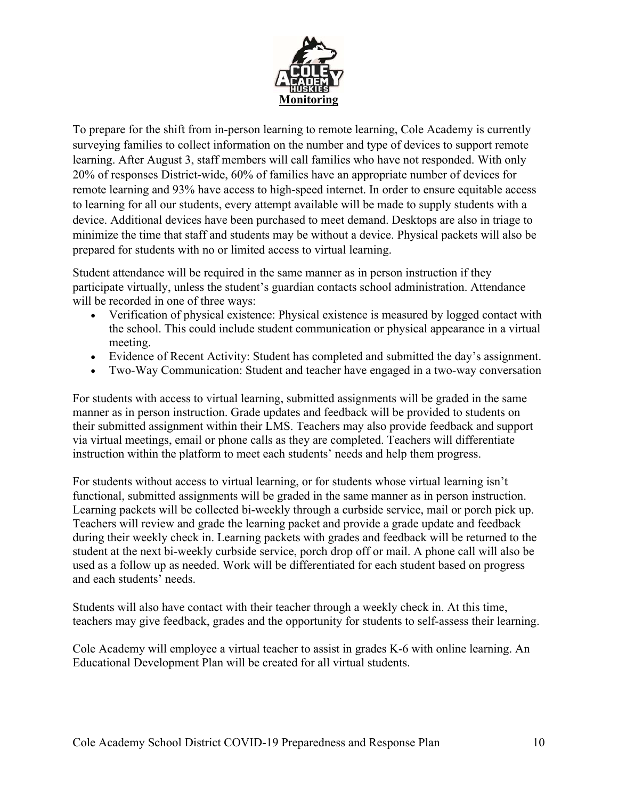

To prepare for the shift from in-person learning to remote learning, Cole Academy is currently surveying families to collect information on the number and type of devices to support remote learning. After August 3, staff members will call families who have not responded. With only 20% of responses District-wide, 60% of families have an appropriate number of devices for remote learning and 93% have access to high-speed internet. In order to ensure equitable access to learning for all our students, every attempt available will be made to supply students with a device. Additional devices have been purchased to meet demand. Desktops are also in triage to minimize the time that staff and students may be without a device. Physical packets will also be prepared for students with no or limited access to virtual learning.

Student attendance will be required in the same manner as in person instruction if they participate virtually, unless the student's guardian contacts school administration. Attendance will be recorded in one of three ways:

- Verification of physical existence: Physical existence is measured by logged contact with the school. This could include student communication or physical appearance in a virtual meeting.
- Evidence of Recent Activity: Student has completed and submitted the day's assignment.
- Two-Way Communication: Student and teacher have engaged in a two-way conversation

For students with access to virtual learning, submitted assignments will be graded in the same manner as in person instruction. Grade updates and feedback will be provided to students on their submitted assignment within their LMS. Teachers may also provide feedback and support via virtual meetings, email or phone calls as they are completed. Teachers will differentiate instruction within the platform to meet each students' needs and help them progress.

For students without access to virtual learning, or for students whose virtual learning isn't functional, submitted assignments will be graded in the same manner as in person instruction. Learning packets will be collected bi-weekly through a curbside service, mail or porch pick up. Teachers will review and grade the learning packet and provide a grade update and feedback during their weekly check in. Learning packets with grades and feedback will be returned to the student at the next bi-weekly curbside service, porch drop off or mail. A phone call will also be used as a follow up as needed. Work will be differentiated for each student based on progress and each students' needs.

Students will also have contact with their teacher through a weekly check in. At this time, teachers may give feedback, grades and the opportunity for students to self-assess their learning.

Cole Academy will employee a virtual teacher to assist in grades K-6 with online learning. An Educational Development Plan will be created for all virtual students.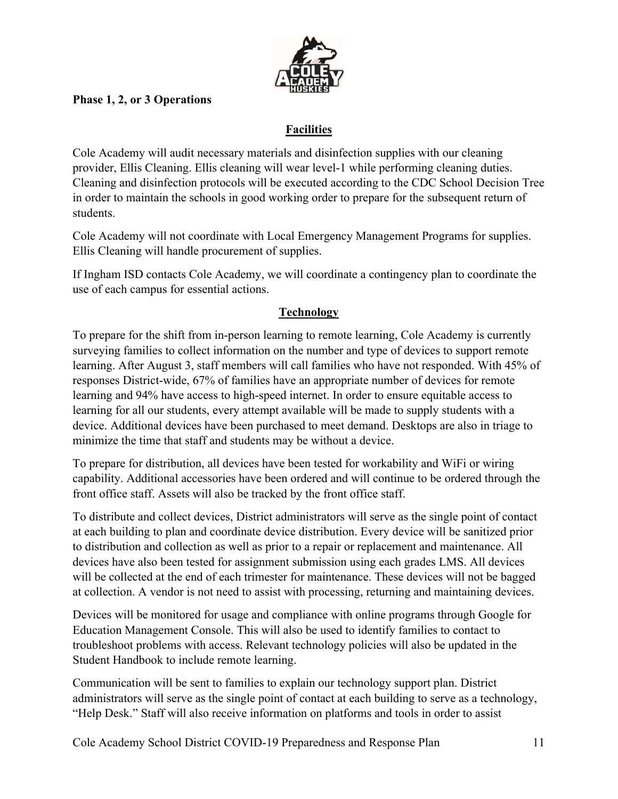

## **Phase 1, 2, or 3 Operations**

## **Facilities**

Cole Academy will audit necessary materials and disinfection supplies with our cleaning provider, Ellis Cleaning. Ellis cleaning will wear level-1 while performing cleaning duties. Cleaning and disinfection protocols will be executed according to the CDC School Decision Tree in order to maintain the schools in good working order to prepare for the subsequent return of students.

Cole Academy will not coordinate with Local Emergency Management Programs for supplies. Ellis Cleaning will handle procurement of supplies.

If Ingham ISD contacts Cole Academy, we will coordinate a contingency plan to coordinate the use of each campus for essential actions.

## **Technology**

To prepare for the shift from in-person learning to remote learning, Cole Academy is currently surveying families to collect information on the number and type of devices to support remote learning. After August 3, staff members will call families who have not responded. With 45% of responses District-wide, 67% of families have an appropriate number of devices for remote learning and 94% have access to high-speed internet. In order to ensure equitable access to learning for all our students, every attempt available will be made to supply students with a device. Additional devices have been purchased to meet demand. Desktops are also in triage to minimize the time that staff and students may be without a device.

To prepare for distribution, all devices have been tested for workability and WiFi or wiring capability. Additional accessories have been ordered and will continue to be ordered through the front office staff. Assets will also be tracked by the front office staff.

To distribute and collect devices, District administrators will serve as the single point of contact at each building to plan and coordinate device distribution. Every device will be sanitized prior to distribution and collection as well as prior to a repair or replacement and maintenance. All devices have also been tested for assignment submission using each grades LMS. All devices will be collected at the end of each trimester for maintenance. These devices will not be bagged at collection. A vendor is not need to assist with processing, returning and maintaining devices.

Devices will be monitored for usage and compliance with online programs through Google for Education Management Console. This will also be used to identify families to contact to troubleshoot problems with access. Relevant technology policies will also be updated in the Student Handbook to include remote learning.

Communication will be sent to families to explain our technology support plan. District administrators will serve as the single point of contact at each building to serve as a technology, "Help Desk." Staff will also receive information on platforms and tools in order to assist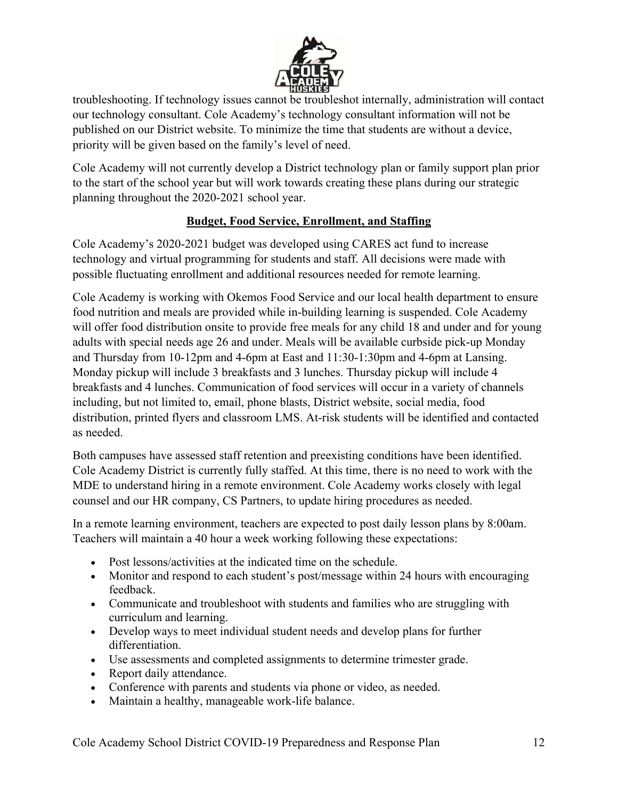

troubleshooting. If technology issues cannot be troubleshot internally, administration will contact our technology consultant. Cole Academy's technology consultant information will not be published on our District website. To minimize the time that students are without a device, priority will be given based on the family's level of need.

Cole Academy will not currently develop a District technology plan or family support plan prior to the start of the school year but will work towards creating these plans during our strategic planning throughout the 2020-2021 school year.

## **Budget, Food Service, Enrollment, and Staffing**

Cole Academy's 2020-2021 budget was developed using CARES act fund to increase technology and virtual programming for students and staff. All decisions were made with possible fluctuating enrollment and additional resources needed for remote learning.

Cole Academy is working with Okemos Food Service and our local health department to ensure food nutrition and meals are provided while in-building learning is suspended. Cole Academy will offer food distribution onsite to provide free meals for any child 18 and under and for young adults with special needs age 26 and under. Meals will be available curbside pick-up Monday and Thursday from 10-12pm and 4-6pm at East and 11:30-1:30pm and 4-6pm at Lansing. Monday pickup will include 3 breakfasts and 3 lunches. Thursday pickup will include 4 breakfasts and 4 lunches. Communication of food services will occur in a variety of channels including, but not limited to, email, phone blasts, District website, social media, food distribution, printed flyers and classroom LMS. At-risk students will be identified and contacted as needed.

Both campuses have assessed staff retention and preexisting conditions have been identified. Cole Academy District is currently fully staffed. At this time, there is no need to work with the MDE to understand hiring in a remote environment. Cole Academy works closely with legal counsel and our HR company, CS Partners, to update hiring procedures as needed.

In a remote learning environment, teachers are expected to post daily lesson plans by 8:00am. Teachers will maintain a 40 hour a week working following these expectations:

- Post lessons/activities at the indicated time on the schedule.
- Monitor and respond to each student's post/message within 24 hours with encouraging feedback.
- Communicate and troubleshoot with students and families who are struggling with curriculum and learning.
- Develop ways to meet individual student needs and develop plans for further differentiation.
- Use assessments and completed assignments to determine trimester grade.
- Report daily attendance.
- Conference with parents and students via phone or video, as needed.
- Maintain a healthy, manageable work-life balance.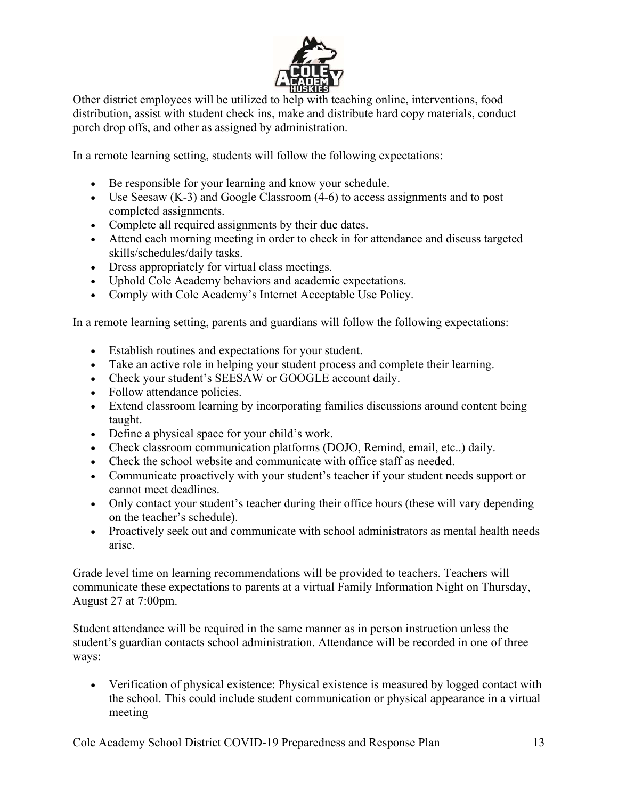

Other district employees will be utilized to help with teaching online, interventions, food distribution, assist with student check ins, make and distribute hard copy materials, conduct porch drop offs, and other as assigned by administration.

In a remote learning setting, students will follow the following expectations:

- Be responsible for your learning and know your schedule.
- Use Seesaw (K-3) and Google Classroom (4-6) to access assignments and to post completed assignments.
- Complete all required assignments by their due dates.
- Attend each morning meeting in order to check in for attendance and discuss targeted skills/schedules/daily tasks.
- Dress appropriately for virtual class meetings.
- Uphold Cole Academy behaviors and academic expectations.
- Comply with Cole Academy's Internet Acceptable Use Policy.

In a remote learning setting, parents and guardians will follow the following expectations:

- Establish routines and expectations for your student.
- Take an active role in helping your student process and complete their learning.
- Check your student's SEESAW or GOOGLE account daily.
- Follow attendance policies.
- Extend classroom learning by incorporating families discussions around content being taught.
- Define a physical space for your child's work.
- Check classroom communication platforms (DOJO, Remind, email, etc..) daily.
- Check the school website and communicate with office staff as needed.
- Communicate proactively with your student's teacher if your student needs support or cannot meet deadlines.
- Only contact your student's teacher during their office hours (these will vary depending on the teacher's schedule).
- Proactively seek out and communicate with school administrators as mental health needs arise.

Grade level time on learning recommendations will be provided to teachers. Teachers will communicate these expectations to parents at a virtual Family Information Night on Thursday, August 27 at 7:00pm.

Student attendance will be required in the same manner as in person instruction unless the student's guardian contacts school administration. Attendance will be recorded in one of three ways:

 Verification of physical existence: Physical existence is measured by logged contact with the school. This could include student communication or physical appearance in a virtual meeting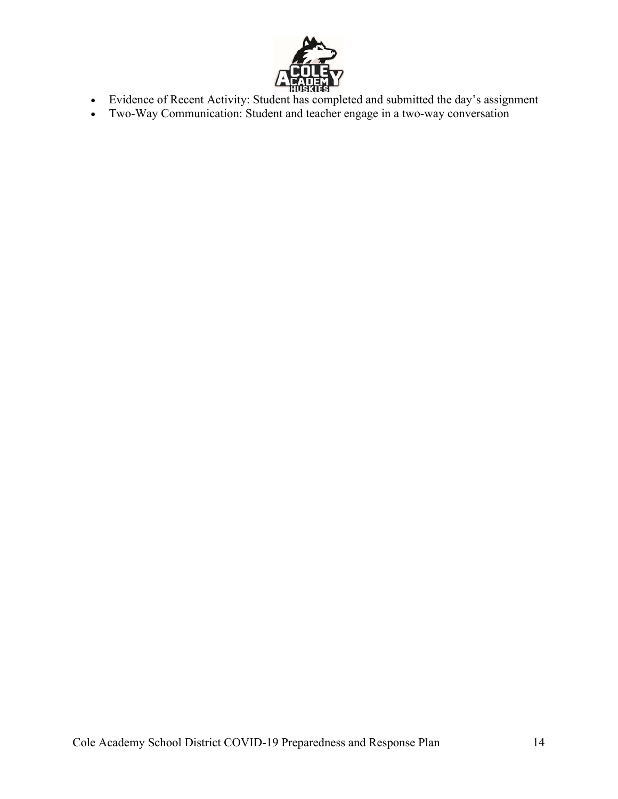

- Evidence of Recent Activity: Student has completed and submitted the day's assignment
- Two-Way Communication: Student and teacher engage in a two-way conversation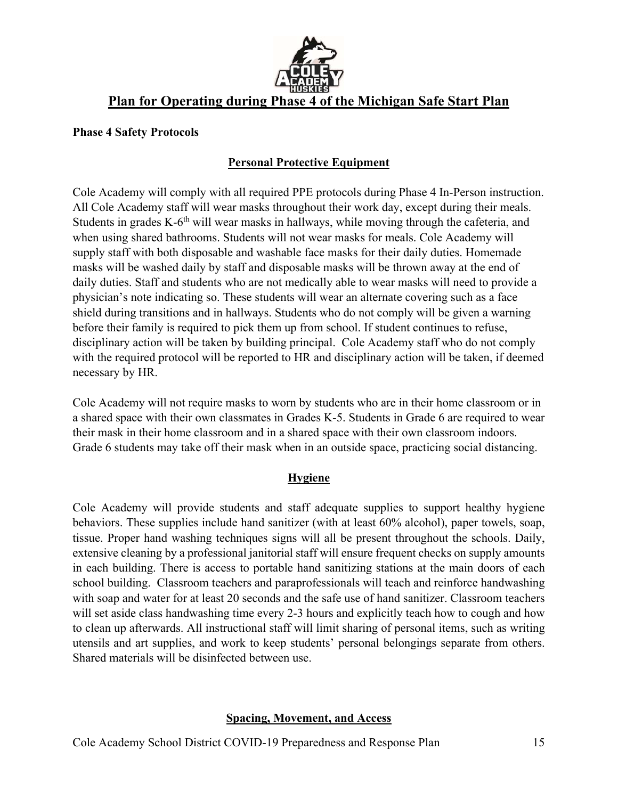

# **Plan for Operating during Phase 4 of the Michigan Safe Start Plan**

#### **Phase 4 Safety Protocols**

#### **Personal Protective Equipment**

Cole Academy will comply with all required PPE protocols during Phase 4 In-Person instruction. All Cole Academy staff will wear masks throughout their work day, except during their meals. Students in grades K-6<sup>th</sup> will wear masks in hallways, while moving through the cafeteria, and when using shared bathrooms. Students will not wear masks for meals. Cole Academy will supply staff with both disposable and washable face masks for their daily duties. Homemade masks will be washed daily by staff and disposable masks will be thrown away at the end of daily duties. Staff and students who are not medically able to wear masks will need to provide a physician's note indicating so. These students will wear an alternate covering such as a face shield during transitions and in hallways. Students who do not comply will be given a warning before their family is required to pick them up from school. If student continues to refuse, disciplinary action will be taken by building principal. Cole Academy staff who do not comply with the required protocol will be reported to HR and disciplinary action will be taken, if deemed necessary by HR.

Cole Academy will not require masks to worn by students who are in their home classroom or in a shared space with their own classmates in Grades K-5. Students in Grade 6 are required to wear their mask in their home classroom and in a shared space with their own classroom indoors. Grade 6 students may take off their mask when in an outside space, practicing social distancing.

#### **Hygiene**

Cole Academy will provide students and staff adequate supplies to support healthy hygiene behaviors. These supplies include hand sanitizer (with at least 60% alcohol), paper towels, soap, tissue. Proper hand washing techniques signs will all be present throughout the schools. Daily, extensive cleaning by a professional janitorial staff will ensure frequent checks on supply amounts in each building. There is access to portable hand sanitizing stations at the main doors of each school building. Classroom teachers and paraprofessionals will teach and reinforce handwashing with soap and water for at least 20 seconds and the safe use of hand sanitizer. Classroom teachers will set aside class handwashing time every 2-3 hours and explicitly teach how to cough and how to clean up afterwards. All instructional staff will limit sharing of personal items, such as writing utensils and art supplies, and work to keep students' personal belongings separate from others. Shared materials will be disinfected between use.

## **Spacing, Movement, and Access**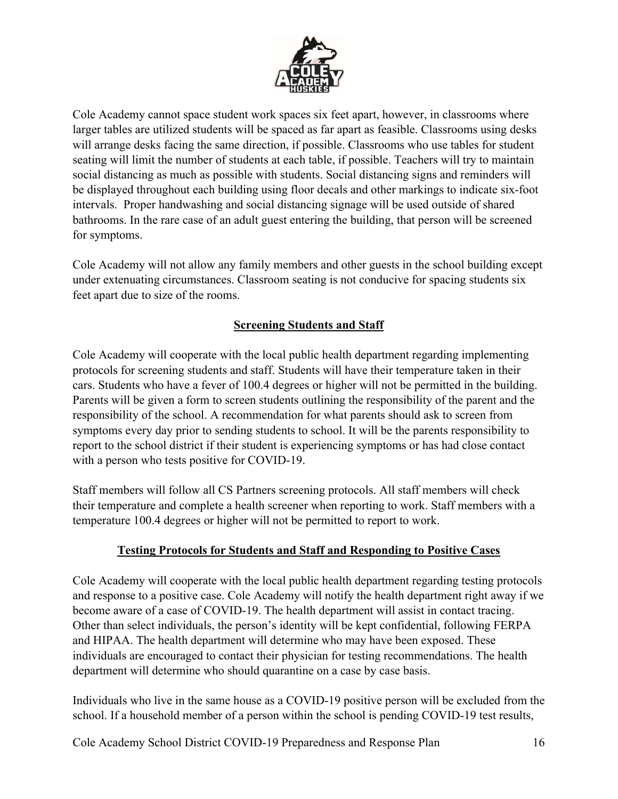

Cole Academy cannot space student work spaces six feet apart, however, in classrooms where larger tables are utilized students will be spaced as far apart as feasible. Classrooms using desks will arrange desks facing the same direction, if possible. Classrooms who use tables for student seating will limit the number of students at each table, if possible. Teachers will try to maintain social distancing as much as possible with students. Social distancing signs and reminders will be displayed throughout each building using floor decals and other markings to indicate six-foot intervals. Proper handwashing and social distancing signage will be used outside of shared bathrooms. In the rare case of an adult guest entering the building, that person will be screened for symptoms.

Cole Academy will not allow any family members and other guests in the school building except under extenuating circumstances. Classroom seating is not conducive for spacing students six feet apart due to size of the rooms.

## **Screening Students and Staff**

Cole Academy will cooperate with the local public health department regarding implementing protocols for screening students and staff. Students will have their temperature taken in their cars. Students who have a fever of 100.4 degrees or higher will not be permitted in the building. Parents will be given a form to screen students outlining the responsibility of the parent and the responsibility of the school. A recommendation for what parents should ask to screen from symptoms every day prior to sending students to school. It will be the parents responsibility to report to the school district if their student is experiencing symptoms or has had close contact with a person who tests positive for COVID-19.

Staff members will follow all CS Partners screening protocols. All staff members will check their temperature and complete a health screener when reporting to work. Staff members with a temperature 100.4 degrees or higher will not be permitted to report to work.

## **Testing Protocols for Students and Staff and Responding to Positive Cases**

Cole Academy will cooperate with the local public health department regarding testing protocols and response to a positive case. Cole Academy will notify the health department right away if we become aware of a case of COVID-19. The health department will assist in contact tracing. Other than select individuals, the person's identity will be kept confidential, following FERPA and HIPAA. The health department will determine who may have been exposed. These individuals are encouraged to contact their physician for testing recommendations. The health department will determine who should quarantine on a case by case basis.

Individuals who live in the same house as a COVID-19 positive person will be excluded from the school. If a household member of a person within the school is pending COVID-19 test results,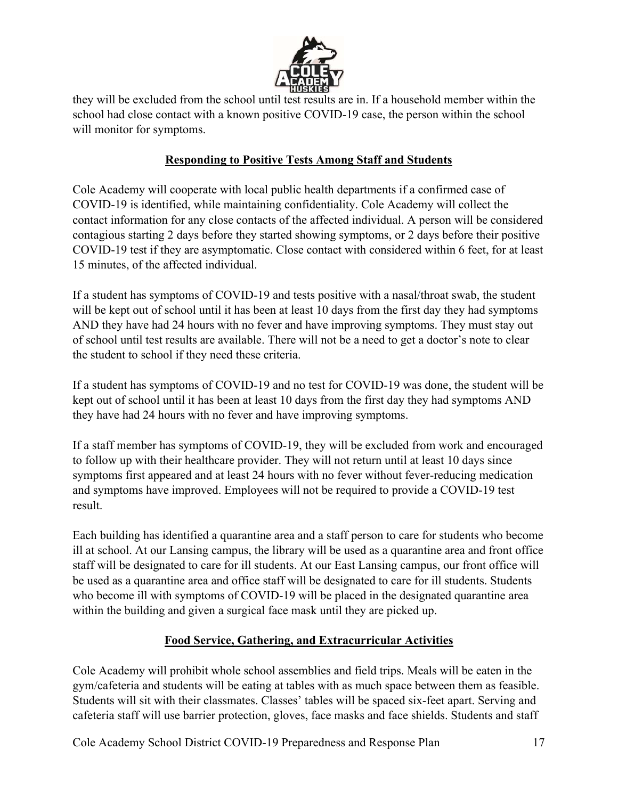

they will be excluded from the school until test results are in. If a household member within the school had close contact with a known positive COVID-19 case, the person within the school will monitor for symptoms.

#### **Responding to Positive Tests Among Staff and Students**

Cole Academy will cooperate with local public health departments if a confirmed case of COVID-19 is identified, while maintaining confidentiality. Cole Academy will collect the contact information for any close contacts of the affected individual. A person will be considered contagious starting 2 days before they started showing symptoms, or 2 days before their positive COVID-19 test if they are asymptomatic. Close contact with considered within 6 feet, for at least 15 minutes, of the affected individual.

If a student has symptoms of COVID-19 and tests positive with a nasal/throat swab, the student will be kept out of school until it has been at least 10 days from the first day they had symptoms AND they have had 24 hours with no fever and have improving symptoms. They must stay out of school until test results are available. There will not be a need to get a doctor's note to clear the student to school if they need these criteria.

If a student has symptoms of COVID-19 and no test for COVID-19 was done, the student will be kept out of school until it has been at least 10 days from the first day they had symptoms AND they have had 24 hours with no fever and have improving symptoms.

If a staff member has symptoms of COVID-19, they will be excluded from work and encouraged to follow up with their healthcare provider. They will not return until at least 10 days since symptoms first appeared and at least 24 hours with no fever without fever-reducing medication and symptoms have improved. Employees will not be required to provide a COVID-19 test result.

Each building has identified a quarantine area and a staff person to care for students who become ill at school. At our Lansing campus, the library will be used as a quarantine area and front office staff will be designated to care for ill students. At our East Lansing campus, our front office will be used as a quarantine area and office staff will be designated to care for ill students. Students who become ill with symptoms of COVID-19 will be placed in the designated quarantine area within the building and given a surgical face mask until they are picked up.

## **Food Service, Gathering, and Extracurricular Activities**

Cole Academy will prohibit whole school assemblies and field trips. Meals will be eaten in the gym/cafeteria and students will be eating at tables with as much space between them as feasible. Students will sit with their classmates. Classes' tables will be spaced six-feet apart. Serving and cafeteria staff will use barrier protection, gloves, face masks and face shields. Students and staff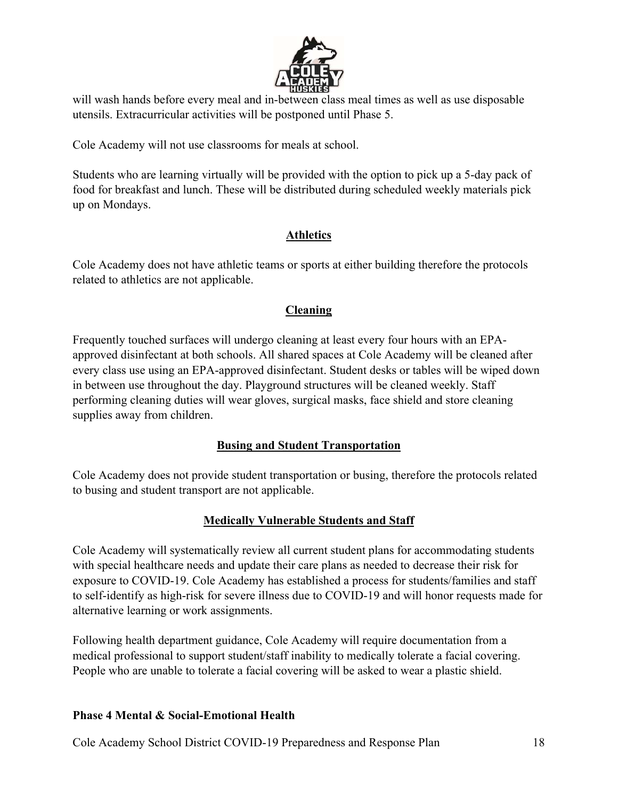

will wash hands before every meal and in-between class meal times as well as use disposable utensils. Extracurricular activities will be postponed until Phase 5.

Cole Academy will not use classrooms for meals at school.

Students who are learning virtually will be provided with the option to pick up a 5-day pack of food for breakfast and lunch. These will be distributed during scheduled weekly materials pick up on Mondays.

#### **Athletics**

Cole Academy does not have athletic teams or sports at either building therefore the protocols related to athletics are not applicable.

## **Cleaning**

Frequently touched surfaces will undergo cleaning at least every four hours with an EPAapproved disinfectant at both schools. All shared spaces at Cole Academy will be cleaned after every class use using an EPA-approved disinfectant. Student desks or tables will be wiped down in between use throughout the day. Playground structures will be cleaned weekly. Staff performing cleaning duties will wear gloves, surgical masks, face shield and store cleaning supplies away from children.

## **Busing and Student Transportation**

Cole Academy does not provide student transportation or busing, therefore the protocols related to busing and student transport are not applicable.

## **Medically Vulnerable Students and Staff**

Cole Academy will systematically review all current student plans for accommodating students with special healthcare needs and update their care plans as needed to decrease their risk for exposure to COVID-19. Cole Academy has established a process for students/families and staff to self-identify as high-risk for severe illness due to COVID-19 and will honor requests made for alternative learning or work assignments.

Following health department guidance, Cole Academy will require documentation from a medical professional to support student/staff inability to medically tolerate a facial covering. People who are unable to tolerate a facial covering will be asked to wear a plastic shield.

#### **Phase 4 Mental & Social-Emotional Health**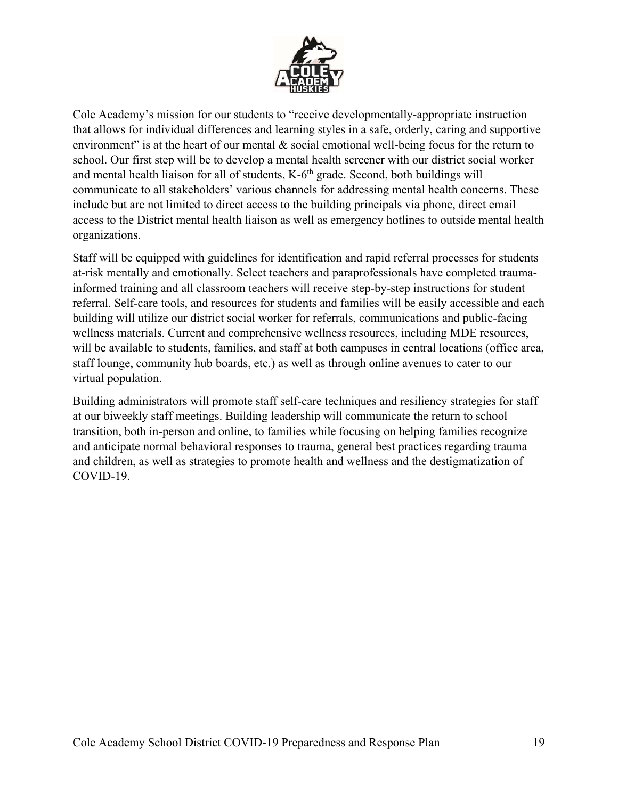

Cole Academy's mission for our students to "receive developmentally-appropriate instruction that allows for individual differences and learning styles in a safe, orderly, caring and supportive environment" is at the heart of our mental & social emotional well-being focus for the return to school. Our first step will be to develop a mental health screener with our district social worker and mental health liaison for all of students,  $K-6<sup>th</sup>$  grade. Second, both buildings will communicate to all stakeholders' various channels for addressing mental health concerns. These include but are not limited to direct access to the building principals via phone, direct email access to the District mental health liaison as well as emergency hotlines to outside mental health organizations.

Staff will be equipped with guidelines for identification and rapid referral processes for students at-risk mentally and emotionally. Select teachers and paraprofessionals have completed traumainformed training and all classroom teachers will receive step-by-step instructions for student referral. Self-care tools, and resources for students and families will be easily accessible and each building will utilize our district social worker for referrals, communications and public-facing wellness materials. Current and comprehensive wellness resources, including MDE resources, will be available to students, families, and staff at both campuses in central locations (office area, staff lounge, community hub boards, etc.) as well as through online avenues to cater to our virtual population.

Building administrators will promote staff self-care techniques and resiliency strategies for staff at our biweekly staff meetings. Building leadership will communicate the return to school transition, both in-person and online, to families while focusing on helping families recognize and anticipate normal behavioral responses to trauma, general best practices regarding trauma and children, as well as strategies to promote health and wellness and the destigmatization of COVID-19.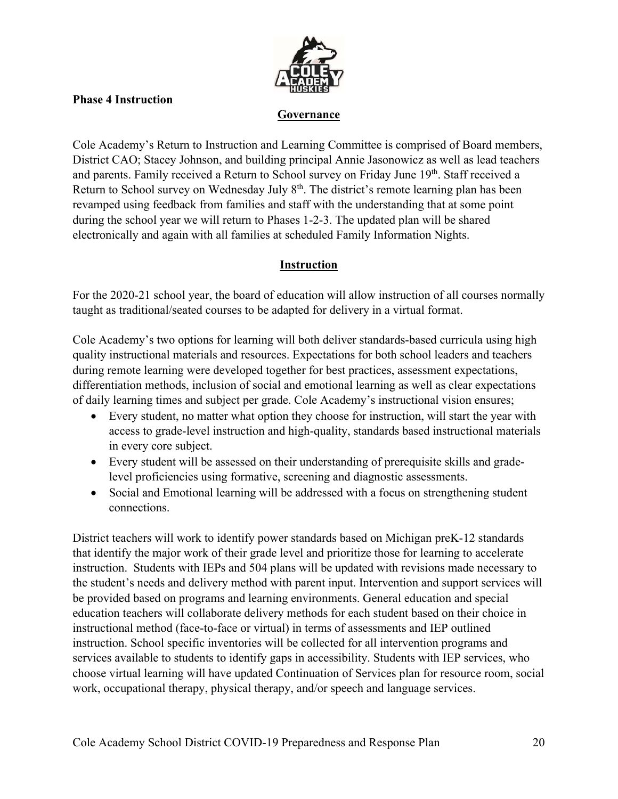

#### **Phase 4 Instruction**

#### **Governance**

Cole Academy's Return to Instruction and Learning Committee is comprised of Board members, District CAO; Stacey Johnson, and building principal Annie Jasonowicz as well as lead teachers and parents. Family received a Return to School survey on Friday June 19<sup>th</sup>. Staff received a Return to School survey on Wednesday July 8<sup>th</sup>. The district's remote learning plan has been revamped using feedback from families and staff with the understanding that at some point during the school year we will return to Phases 1-2-3. The updated plan will be shared electronically and again with all families at scheduled Family Information Nights.

#### **Instruction**

For the 2020-21 school year, the board of education will allow instruction of all courses normally taught as traditional/seated courses to be adapted for delivery in a virtual format.

Cole Academy's two options for learning will both deliver standards-based curricula using high quality instructional materials and resources. Expectations for both school leaders and teachers during remote learning were developed together for best practices, assessment expectations, differentiation methods, inclusion of social and emotional learning as well as clear expectations of daily learning times and subject per grade. Cole Academy's instructional vision ensures;

- Every student, no matter what option they choose for instruction, will start the year with access to grade-level instruction and high-quality, standards based instructional materials in every core subject.
- Every student will be assessed on their understanding of prerequisite skills and gradelevel proficiencies using formative, screening and diagnostic assessments.
- Social and Emotional learning will be addressed with a focus on strengthening student connections.

District teachers will work to identify power standards based on Michigan preK-12 standards that identify the major work of their grade level and prioritize those for learning to accelerate instruction. Students with IEPs and 504 plans will be updated with revisions made necessary to the student's needs and delivery method with parent input. Intervention and support services will be provided based on programs and learning environments. General education and special education teachers will collaborate delivery methods for each student based on their choice in instructional method (face-to-face or virtual) in terms of assessments and IEP outlined instruction. School specific inventories will be collected for all intervention programs and services available to students to identify gaps in accessibility. Students with IEP services, who choose virtual learning will have updated Continuation of Services plan for resource room, social work, occupational therapy, physical therapy, and/or speech and language services.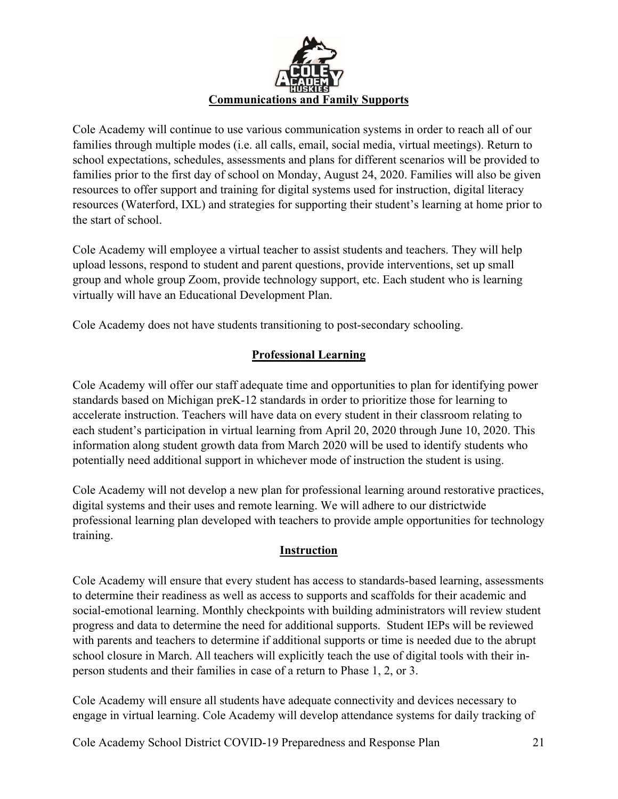

Cole Academy will continue to use various communication systems in order to reach all of our families through multiple modes (i.e. all calls, email, social media, virtual meetings). Return to school expectations, schedules, assessments and plans for different scenarios will be provided to families prior to the first day of school on Monday, August 24, 2020. Families will also be given resources to offer support and training for digital systems used for instruction, digital literacy resources (Waterford, IXL) and strategies for supporting their student's learning at home prior to the start of school.

Cole Academy will employee a virtual teacher to assist students and teachers. They will help upload lessons, respond to student and parent questions, provide interventions, set up small group and whole group Zoom, provide technology support, etc. Each student who is learning virtually will have an Educational Development Plan.

Cole Academy does not have students transitioning to post-secondary schooling.

## **Professional Learning**

Cole Academy will offer our staff adequate time and opportunities to plan for identifying power standards based on Michigan preK-12 standards in order to prioritize those for learning to accelerate instruction. Teachers will have data on every student in their classroom relating to each student's participation in virtual learning from April 20, 2020 through June 10, 2020. This information along student growth data from March 2020 will be used to identify students who potentially need additional support in whichever mode of instruction the student is using.

Cole Academy will not develop a new plan for professional learning around restorative practices, digital systems and their uses and remote learning. We will adhere to our districtwide professional learning plan developed with teachers to provide ample opportunities for technology training.

## **Instruction**

Cole Academy will ensure that every student has access to standards-based learning, assessments to determine their readiness as well as access to supports and scaffolds for their academic and social-emotional learning. Monthly checkpoints with building administrators will review student progress and data to determine the need for additional supports. Student IEPs will be reviewed with parents and teachers to determine if additional supports or time is needed due to the abrupt school closure in March. All teachers will explicitly teach the use of digital tools with their inperson students and their families in case of a return to Phase 1, 2, or 3.

Cole Academy will ensure all students have adequate connectivity and devices necessary to engage in virtual learning. Cole Academy will develop attendance systems for daily tracking of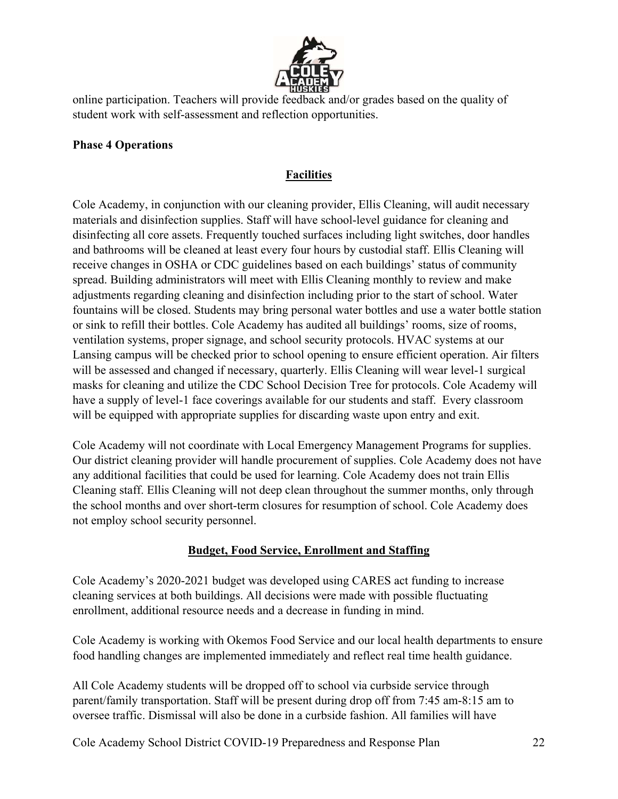

online participation. Teachers will provide feedback and/or grades based on the quality of student work with self-assessment and reflection opportunities.

#### **Phase 4 Operations**

## **Facilities**

Cole Academy, in conjunction with our cleaning provider, Ellis Cleaning, will audit necessary materials and disinfection supplies. Staff will have school-level guidance for cleaning and disinfecting all core assets. Frequently touched surfaces including light switches, door handles and bathrooms will be cleaned at least every four hours by custodial staff. Ellis Cleaning will receive changes in OSHA or CDC guidelines based on each buildings' status of community spread. Building administrators will meet with Ellis Cleaning monthly to review and make adjustments regarding cleaning and disinfection including prior to the start of school. Water fountains will be closed. Students may bring personal water bottles and use a water bottle station or sink to refill their bottles. Cole Academy has audited all buildings' rooms, size of rooms, ventilation systems, proper signage, and school security protocols. HVAC systems at our Lansing campus will be checked prior to school opening to ensure efficient operation. Air filters will be assessed and changed if necessary, quarterly. Ellis Cleaning will wear level-1 surgical masks for cleaning and utilize the CDC School Decision Tree for protocols. Cole Academy will have a supply of level-1 face coverings available for our students and staff. Every classroom will be equipped with appropriate supplies for discarding waste upon entry and exit.

Cole Academy will not coordinate with Local Emergency Management Programs for supplies. Our district cleaning provider will handle procurement of supplies. Cole Academy does not have any additional facilities that could be used for learning. Cole Academy does not train Ellis Cleaning staff. Ellis Cleaning will not deep clean throughout the summer months, only through the school months and over short-term closures for resumption of school. Cole Academy does not employ school security personnel.

#### **Budget, Food Service, Enrollment and Staffing**

Cole Academy's 2020-2021 budget was developed using CARES act funding to increase cleaning services at both buildings. All decisions were made with possible fluctuating enrollment, additional resource needs and a decrease in funding in mind.

Cole Academy is working with Okemos Food Service and our local health departments to ensure food handling changes are implemented immediately and reflect real time health guidance.

All Cole Academy students will be dropped off to school via curbside service through parent/family transportation. Staff will be present during drop off from 7:45 am-8:15 am to oversee traffic. Dismissal will also be done in a curbside fashion. All families will have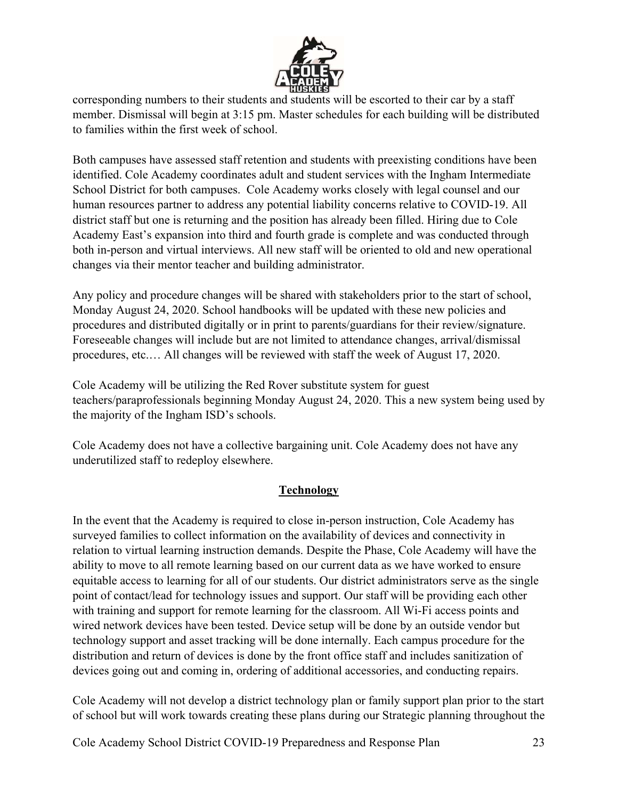

corresponding numbers to their students and students will be escorted to their car by a staff member. Dismissal will begin at 3:15 pm. Master schedules for each building will be distributed to families within the first week of school.

Both campuses have assessed staff retention and students with preexisting conditions have been identified. Cole Academy coordinates adult and student services with the Ingham Intermediate School District for both campuses. Cole Academy works closely with legal counsel and our human resources partner to address any potential liability concerns relative to COVID-19. All district staff but one is returning and the position has already been filled. Hiring due to Cole Academy East's expansion into third and fourth grade is complete and was conducted through both in-person and virtual interviews. All new staff will be oriented to old and new operational changes via their mentor teacher and building administrator.

Any policy and procedure changes will be shared with stakeholders prior to the start of school, Monday August 24, 2020. School handbooks will be updated with these new policies and procedures and distributed digitally or in print to parents/guardians for their review/signature. Foreseeable changes will include but are not limited to attendance changes, arrival/dismissal procedures, etc.… All changes will be reviewed with staff the week of August 17, 2020.

Cole Academy will be utilizing the Red Rover substitute system for guest teachers/paraprofessionals beginning Monday August 24, 2020. This a new system being used by the majority of the Ingham ISD's schools.

Cole Academy does not have a collective bargaining unit. Cole Academy does not have any underutilized staff to redeploy elsewhere.

## **Technology**

In the event that the Academy is required to close in-person instruction, Cole Academy has surveyed families to collect information on the availability of devices and connectivity in relation to virtual learning instruction demands. Despite the Phase, Cole Academy will have the ability to move to all remote learning based on our current data as we have worked to ensure equitable access to learning for all of our students. Our district administrators serve as the single point of contact/lead for technology issues and support. Our staff will be providing each other with training and support for remote learning for the classroom. All Wi-Fi access points and wired network devices have been tested. Device setup will be done by an outside vendor but technology support and asset tracking will be done internally. Each campus procedure for the distribution and return of devices is done by the front office staff and includes sanitization of devices going out and coming in, ordering of additional accessories, and conducting repairs.

Cole Academy will not develop a district technology plan or family support plan prior to the start of school but will work towards creating these plans during our Strategic planning throughout the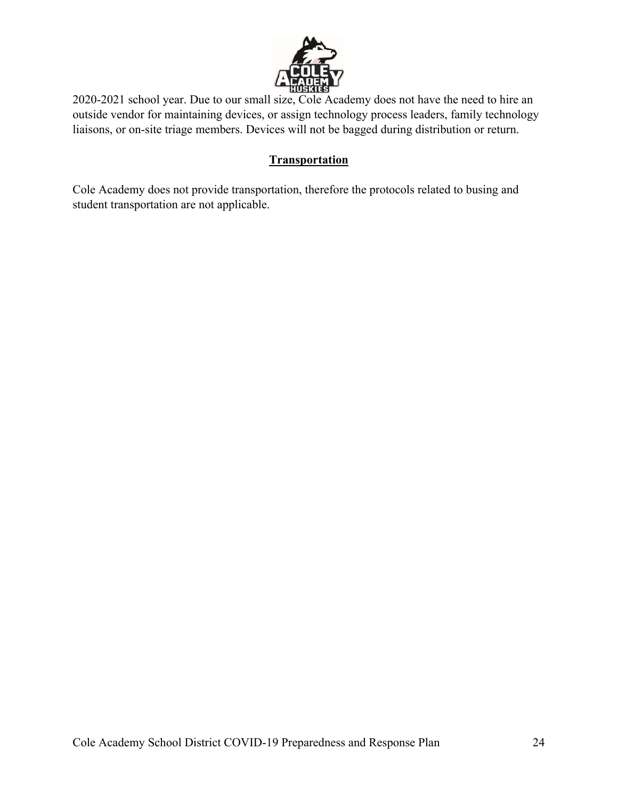

2020-2021 school year. Due to our small size, Cole Academy does not have the need to hire an outside vendor for maintaining devices, or assign technology process leaders, family technology liaisons, or on-site triage members. Devices will not be bagged during distribution or return.

#### **Transportation**

Cole Academy does not provide transportation, therefore the protocols related to busing and student transportation are not applicable.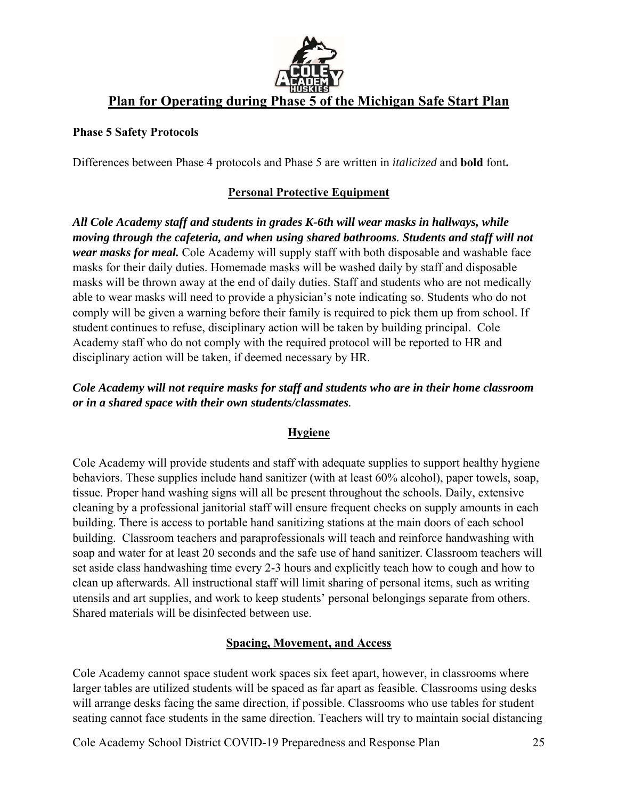

# **Plan for Operating during Phase 5 of the Michigan Safe Start Plan**

#### **Phase 5 Safety Protocols**

Differences between Phase 4 protocols and Phase 5 are written in *italicized* and **bold** font**.** 

## **Personal Protective Equipment**

*All Cole Academy staff and students in grades K-6th will wear masks in hallways, while moving through the cafeteria, and when using shared bathrooms. Students and staff will not wear masks for meal.* Cole Academy will supply staff with both disposable and washable face masks for their daily duties. Homemade masks will be washed daily by staff and disposable masks will be thrown away at the end of daily duties. Staff and students who are not medically able to wear masks will need to provide a physician's note indicating so. Students who do not comply will be given a warning before their family is required to pick them up from school. If student continues to refuse, disciplinary action will be taken by building principal. Cole Academy staff who do not comply with the required protocol will be reported to HR and disciplinary action will be taken, if deemed necessary by HR.

#### *Cole Academy will not require masks for staff and students who are in their home classroom or in a shared space with their own students/classmates.*

## **Hygiene**

Cole Academy will provide students and staff with adequate supplies to support healthy hygiene behaviors. These supplies include hand sanitizer (with at least 60% alcohol), paper towels, soap, tissue. Proper hand washing signs will all be present throughout the schools. Daily, extensive cleaning by a professional janitorial staff will ensure frequent checks on supply amounts in each building. There is access to portable hand sanitizing stations at the main doors of each school building. Classroom teachers and paraprofessionals will teach and reinforce handwashing with soap and water for at least 20 seconds and the safe use of hand sanitizer. Classroom teachers will set aside class handwashing time every 2-3 hours and explicitly teach how to cough and how to clean up afterwards. All instructional staff will limit sharing of personal items, such as writing utensils and art supplies, and work to keep students' personal belongings separate from others. Shared materials will be disinfected between use.

## **Spacing, Movement, and Access**

Cole Academy cannot space student work spaces six feet apart, however, in classrooms where larger tables are utilized students will be spaced as far apart as feasible. Classrooms using desks will arrange desks facing the same direction, if possible. Classrooms who use tables for student seating cannot face students in the same direction. Teachers will try to maintain social distancing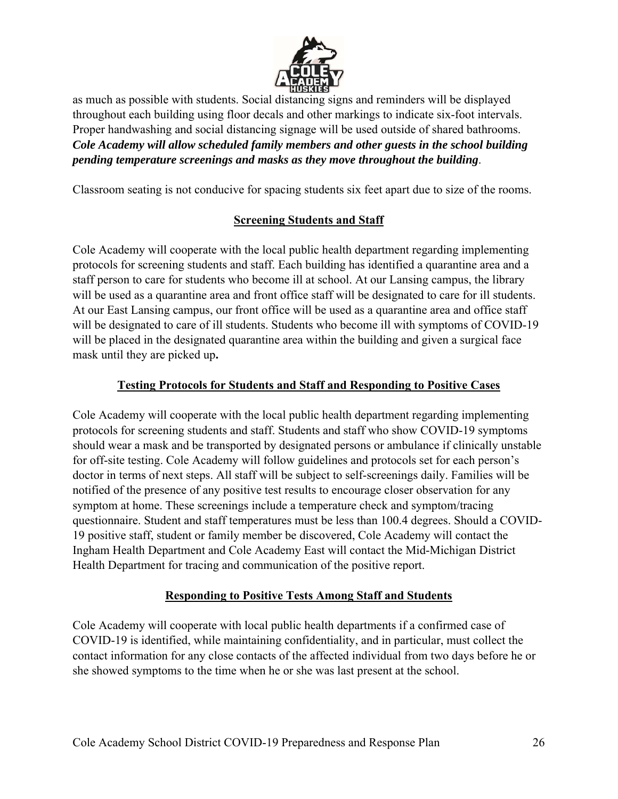

as much as possible with students. Social distancing signs and reminders will be displayed throughout each building using floor decals and other markings to indicate six-foot intervals. Proper handwashing and social distancing signage will be used outside of shared bathrooms. *Cole Academy will allow scheduled family members and other guests in the school building pending temperature screenings and masks as they move throughout the building*.

Classroom seating is not conducive for spacing students six feet apart due to size of the rooms.

#### **Screening Students and Staff**

Cole Academy will cooperate with the local public health department regarding implementing protocols for screening students and staff. Each building has identified a quarantine area and a staff person to care for students who become ill at school. At our Lansing campus, the library will be used as a quarantine area and front office staff will be designated to care for ill students. At our East Lansing campus, our front office will be used as a quarantine area and office staff will be designated to care of ill students. Students who become ill with symptoms of COVID-19 will be placed in the designated quarantine area within the building and given a surgical face mask until they are picked up**.** 

## **Testing Protocols for Students and Staff and Responding to Positive Cases**

Cole Academy will cooperate with the local public health department regarding implementing protocols for screening students and staff. Students and staff who show COVID-19 symptoms should wear a mask and be transported by designated persons or ambulance if clinically unstable for off-site testing. Cole Academy will follow guidelines and protocols set for each person's doctor in terms of next steps. All staff will be subject to self-screenings daily. Families will be notified of the presence of any positive test results to encourage closer observation for any symptom at home. These screenings include a temperature check and symptom/tracing questionnaire. Student and staff temperatures must be less than 100.4 degrees. Should a COVID-19 positive staff, student or family member be discovered, Cole Academy will contact the Ingham Health Department and Cole Academy East will contact the Mid-Michigan District Health Department for tracing and communication of the positive report.

#### **Responding to Positive Tests Among Staff and Students**

Cole Academy will cooperate with local public health departments if a confirmed case of COVID-19 is identified, while maintaining confidentiality, and in particular, must collect the contact information for any close contacts of the affected individual from two days before he or she showed symptoms to the time when he or she was last present at the school.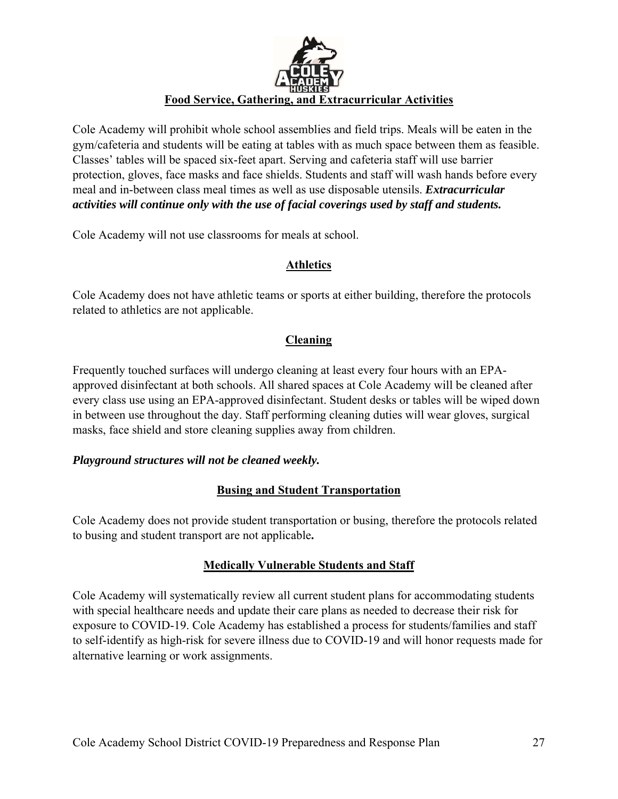

Cole Academy will prohibit whole school assemblies and field trips. Meals will be eaten in the gym/cafeteria and students will be eating at tables with as much space between them as feasible. Classes' tables will be spaced six-feet apart. Serving and cafeteria staff will use barrier protection, gloves, face masks and face shields. Students and staff will wash hands before every meal and in-between class meal times as well as use disposable utensils. *Extracurricular activities will continue only with the use of facial coverings used by staff and students.*

Cole Academy will not use classrooms for meals at school.

#### **Athletics**

Cole Academy does not have athletic teams or sports at either building, therefore the protocols related to athletics are not applicable.

## **Cleaning**

Frequently touched surfaces will undergo cleaning at least every four hours with an EPAapproved disinfectant at both schools. All shared spaces at Cole Academy will be cleaned after every class use using an EPA-approved disinfectant. Student desks or tables will be wiped down in between use throughout the day. Staff performing cleaning duties will wear gloves, surgical masks, face shield and store cleaning supplies away from children.

#### *Playground structures will not be cleaned weekly.*

#### **Busing and Student Transportation**

Cole Academy does not provide student transportation or busing, therefore the protocols related to busing and student transport are not applicable**.** 

#### **Medically Vulnerable Students and Staff**

Cole Academy will systematically review all current student plans for accommodating students with special healthcare needs and update their care plans as needed to decrease their risk for exposure to COVID-19. Cole Academy has established a process for students/families and staff to self-identify as high-risk for severe illness due to COVID-19 and will honor requests made for alternative learning or work assignments.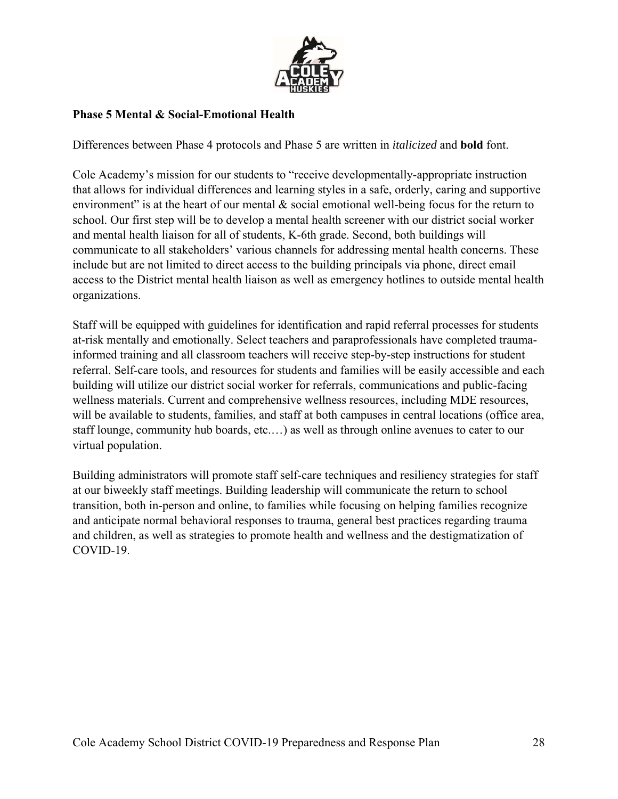

#### **Phase 5 Mental & Social-Emotional Health**

Differences between Phase 4 protocols and Phase 5 are written in *italicized* and **bold** font.

Cole Academy's mission for our students to "receive developmentally-appropriate instruction that allows for individual differences and learning styles in a safe, orderly, caring and supportive environment" is at the heart of our mental  $\&$  social emotional well-being focus for the return to school. Our first step will be to develop a mental health screener with our district social worker and mental health liaison for all of students, K-6th grade. Second, both buildings will communicate to all stakeholders' various channels for addressing mental health concerns. These include but are not limited to direct access to the building principals via phone, direct email access to the District mental health liaison as well as emergency hotlines to outside mental health organizations.

Staff will be equipped with guidelines for identification and rapid referral processes for students at-risk mentally and emotionally. Select teachers and paraprofessionals have completed traumainformed training and all classroom teachers will receive step-by-step instructions for student referral. Self-care tools, and resources for students and families will be easily accessible and each building will utilize our district social worker for referrals, communications and public-facing wellness materials. Current and comprehensive wellness resources, including MDE resources, will be available to students, families, and staff at both campuses in central locations (office area, staff lounge, community hub boards, etc.…) as well as through online avenues to cater to our virtual population.

Building administrators will promote staff self-care techniques and resiliency strategies for staff at our biweekly staff meetings. Building leadership will communicate the return to school transition, both in-person and online, to families while focusing on helping families recognize and anticipate normal behavioral responses to trauma, general best practices regarding trauma and children, as well as strategies to promote health and wellness and the destigmatization of COVID-19.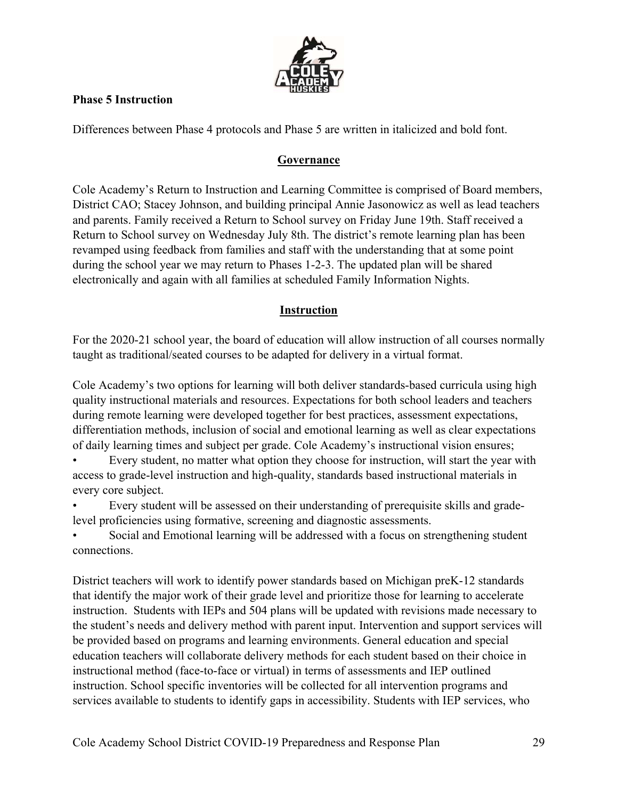

#### **Phase 5 Instruction**

Differences between Phase 4 protocols and Phase 5 are written in italicized and bold font.

#### **Governance**

Cole Academy's Return to Instruction and Learning Committee is comprised of Board members, District CAO; Stacey Johnson, and building principal Annie Jasonowicz as well as lead teachers and parents. Family received a Return to School survey on Friday June 19th. Staff received a Return to School survey on Wednesday July 8th. The district's remote learning plan has been revamped using feedback from families and staff with the understanding that at some point during the school year we may return to Phases 1-2-3. The updated plan will be shared electronically and again with all families at scheduled Family Information Nights.

## **Instruction**

For the 2020-21 school year, the board of education will allow instruction of all courses normally taught as traditional/seated courses to be adapted for delivery in a virtual format.

Cole Academy's two options for learning will both deliver standards-based curricula using high quality instructional materials and resources. Expectations for both school leaders and teachers during remote learning were developed together for best practices, assessment expectations, differentiation methods, inclusion of social and emotional learning as well as clear expectations of daily learning times and subject per grade. Cole Academy's instructional vision ensures;

• Every student, no matter what option they choose for instruction, will start the year with access to grade-level instruction and high-quality, standards based instructional materials in every core subject.

• Every student will be assessed on their understanding of prerequisite skills and gradelevel proficiencies using formative, screening and diagnostic assessments.

Social and Emotional learning will be addressed with a focus on strengthening student connections.

District teachers will work to identify power standards based on Michigan preK-12 standards that identify the major work of their grade level and prioritize those for learning to accelerate instruction. Students with IEPs and 504 plans will be updated with revisions made necessary to the student's needs and delivery method with parent input. Intervention and support services will be provided based on programs and learning environments. General education and special education teachers will collaborate delivery methods for each student based on their choice in instructional method (face-to-face or virtual) in terms of assessments and IEP outlined instruction. School specific inventories will be collected for all intervention programs and services available to students to identify gaps in accessibility. Students with IEP services, who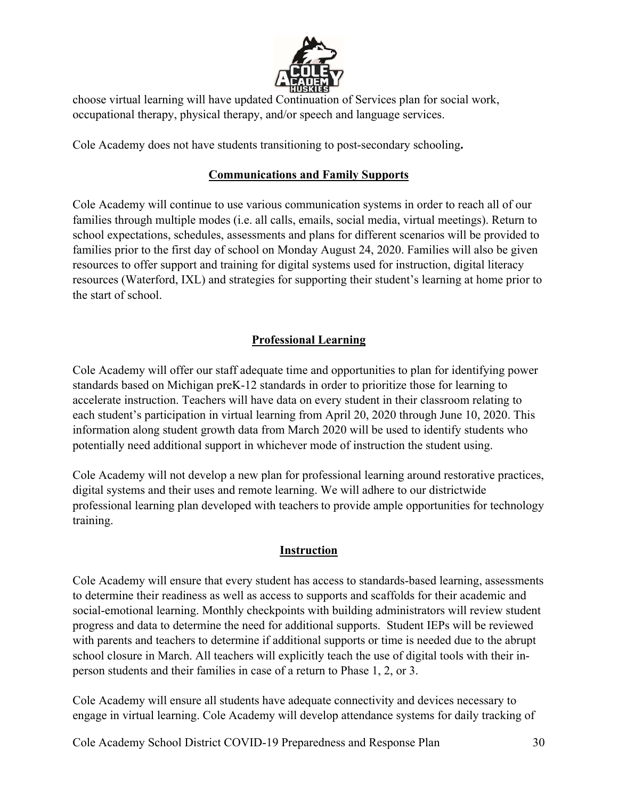

choose virtual learning will have updated Continuation of Services plan for social work, occupational therapy, physical therapy, and/or speech and language services.

Cole Academy does not have students transitioning to post-secondary schooling**.** 

## **Communications and Family Supports**

Cole Academy will continue to use various communication systems in order to reach all of our families through multiple modes (i.e. all calls, emails, social media, virtual meetings). Return to school expectations, schedules, assessments and plans for different scenarios will be provided to families prior to the first day of school on Monday August 24, 2020. Families will also be given resources to offer support and training for digital systems used for instruction, digital literacy resources (Waterford, IXL) and strategies for supporting their student's learning at home prior to the start of school.

## **Professional Learning**

Cole Academy will offer our staff adequate time and opportunities to plan for identifying power standards based on Michigan preK-12 standards in order to prioritize those for learning to accelerate instruction. Teachers will have data on every student in their classroom relating to each student's participation in virtual learning from April 20, 2020 through June 10, 2020. This information along student growth data from March 2020 will be used to identify students who potentially need additional support in whichever mode of instruction the student using.

Cole Academy will not develop a new plan for professional learning around restorative practices, digital systems and their uses and remote learning. We will adhere to our districtwide professional learning plan developed with teachers to provide ample opportunities for technology training.

## **Instruction**

Cole Academy will ensure that every student has access to standards-based learning, assessments to determine their readiness as well as access to supports and scaffolds for their academic and social-emotional learning. Monthly checkpoints with building administrators will review student progress and data to determine the need for additional supports. Student IEPs will be reviewed with parents and teachers to determine if additional supports or time is needed due to the abrupt school closure in March. All teachers will explicitly teach the use of digital tools with their inperson students and their families in case of a return to Phase 1, 2, or 3.

Cole Academy will ensure all students have adequate connectivity and devices necessary to engage in virtual learning. Cole Academy will develop attendance systems for daily tracking of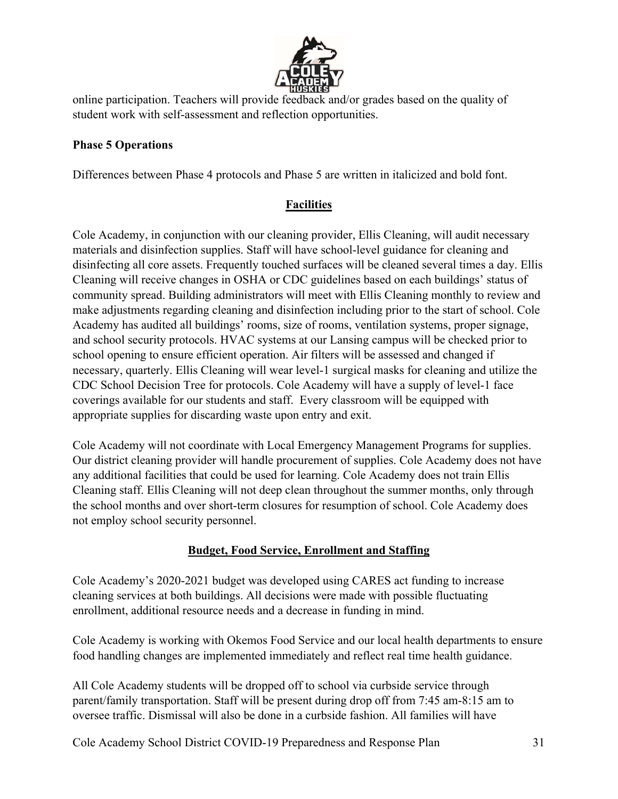

online participation. Teachers will provide feedback and/or grades based on the quality of student work with self-assessment and reflection opportunities.

## **Phase 5 Operations**

Differences between Phase 4 protocols and Phase 5 are written in italicized and bold font.

## **Facilities**

Cole Academy, in conjunction with our cleaning provider, Ellis Cleaning, will audit necessary materials and disinfection supplies. Staff will have school-level guidance for cleaning and disinfecting all core assets. Frequently touched surfaces will be cleaned several times a day. Ellis Cleaning will receive changes in OSHA or CDC guidelines based on each buildings' status of community spread. Building administrators will meet with Ellis Cleaning monthly to review and make adjustments regarding cleaning and disinfection including prior to the start of school. Cole Academy has audited all buildings' rooms, size of rooms, ventilation systems, proper signage, and school security protocols. HVAC systems at our Lansing campus will be checked prior to school opening to ensure efficient operation. Air filters will be assessed and changed if necessary, quarterly. Ellis Cleaning will wear level-1 surgical masks for cleaning and utilize the CDC School Decision Tree for protocols. Cole Academy will have a supply of level-1 face coverings available for our students and staff. Every classroom will be equipped with appropriate supplies for discarding waste upon entry and exit.

Cole Academy will not coordinate with Local Emergency Management Programs for supplies. Our district cleaning provider will handle procurement of supplies. Cole Academy does not have any additional facilities that could be used for learning. Cole Academy does not train Ellis Cleaning staff. Ellis Cleaning will not deep clean throughout the summer months, only through the school months and over short-term closures for resumption of school. Cole Academy does not employ school security personnel.

#### **Budget, Food Service, Enrollment and Staffing**

Cole Academy's 2020-2021 budget was developed using CARES act funding to increase cleaning services at both buildings. All decisions were made with possible fluctuating enrollment, additional resource needs and a decrease in funding in mind.

Cole Academy is working with Okemos Food Service and our local health departments to ensure food handling changes are implemented immediately and reflect real time health guidance.

All Cole Academy students will be dropped off to school via curbside service through parent/family transportation. Staff will be present during drop off from 7:45 am-8:15 am to oversee traffic. Dismissal will also be done in a curbside fashion. All families will have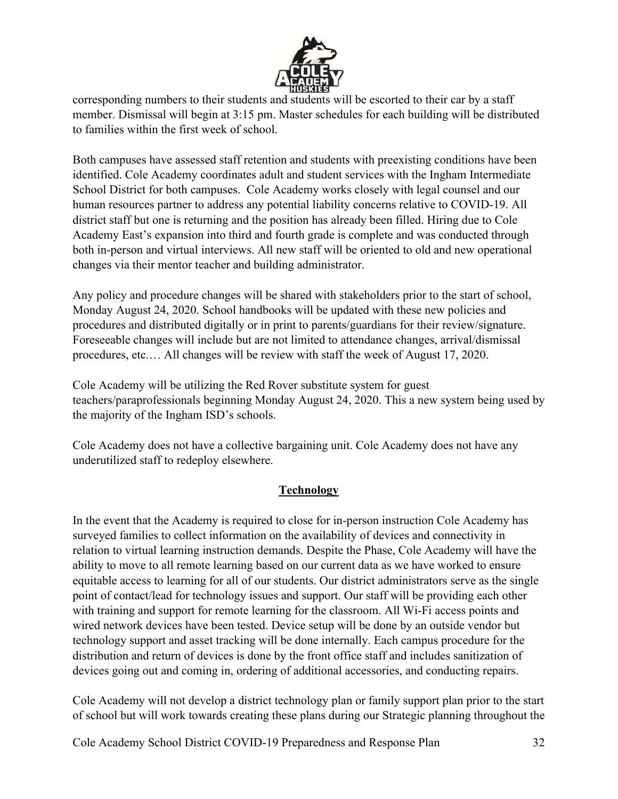

corresponding numbers to their students and students will be escorted to their car by a staff member. Dismissal will begin at 3:15 pm. Master schedules for each building will be distributed to families within the first week of school.

Both campuses have assessed staff retention and students with preexisting conditions have been identified. Cole Academy coordinates adult and student services with the Ingham Intermediate School District for both campuses. Cole Academy works closely with legal counsel and our human resources partner to address any potential liability concerns relative to COVID-19. All district staff but one is returning and the position has already been filled. Hiring due to Cole Academy East's expansion into third and fourth grade is complete and was conducted through both in-person and virtual interviews. All new staff will be oriented to old and new operational changes via their mentor teacher and building administrator.

Any policy and procedure changes will be shared with stakeholders prior to the start of school, Monday August 24, 2020. School handbooks will be updated with these new policies and procedures and distributed digitally or in print to parents/guardians for their review/signature. Foreseeable changes will include but are not limited to attendance changes, arrival/dismissal procedures, etc.… All changes will be review with staff the week of August 17, 2020.

Cole Academy will be utilizing the Red Rover substitute system for guest teachers/paraprofessionals beginning Monday August 24, 2020. This a new system being used by the majority of the Ingham ISD's schools.

Cole Academy does not have a collective bargaining unit. Cole Academy does not have any underutilized staff to redeploy elsewhere.

## **Technology**

In the event that the Academy is required to close for in-person instruction Cole Academy has surveyed families to collect information on the availability of devices and connectivity in relation to virtual learning instruction demands. Despite the Phase, Cole Academy will have the ability to move to all remote learning based on our current data as we have worked to ensure equitable access to learning for all of our students. Our district administrators serve as the single point of contact/lead for technology issues and support. Our staff will be providing each other with training and support for remote learning for the classroom. All Wi-Fi access points and wired network devices have been tested. Device setup will be done by an outside vendor but technology support and asset tracking will be done internally. Each campus procedure for the distribution and return of devices is done by the front office staff and includes sanitization of devices going out and coming in, ordering of additional accessories, and conducting repairs.

Cole Academy will not develop a district technology plan or family support plan prior to the start of school but will work towards creating these plans during our Strategic planning throughout the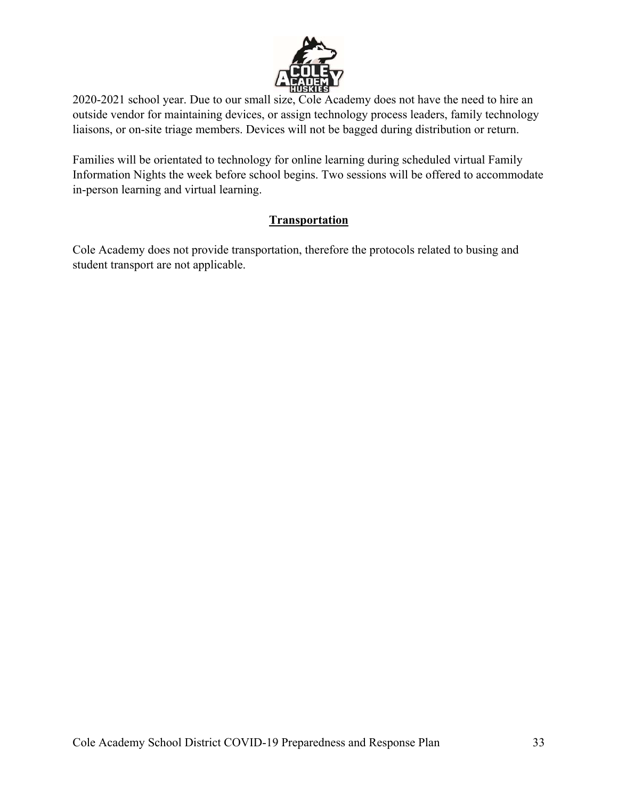

2020-2021 school year. Due to our small size, Cole Academy does not have the need to hire an outside vendor for maintaining devices, or assign technology process leaders, family technology liaisons, or on-site triage members. Devices will not be bagged during distribution or return.

Families will be orientated to technology for online learning during scheduled virtual Family Information Nights the week before school begins. Two sessions will be offered to accommodate in-person learning and virtual learning.

## **Transportation**

Cole Academy does not provide transportation, therefore the protocols related to busing and student transport are not applicable.